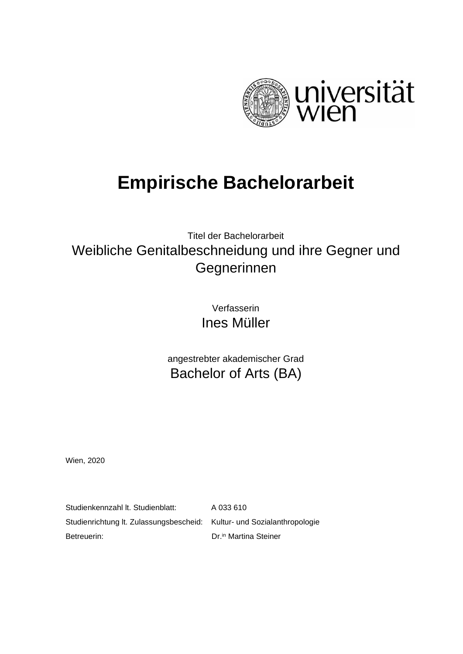

# **Empirische Bachelorarbeit**

## Titel der Bachelorarbeit Weibliche Genitalbeschneidung und ihre Gegner und Gegnerinnen

Verfasserin Ines Müller

angestrebter akademischer Grad Bachelor of Arts (BA)

Wien, 2020

Studienkennzahl lt. Studienblatt: A 033 610 Studienrichtung lt. Zulassungsbescheid: Kultur- und Sozialanthropologie Betreuerin: Dr.in [Martina](http://aurelia-weikert.at/) Steiner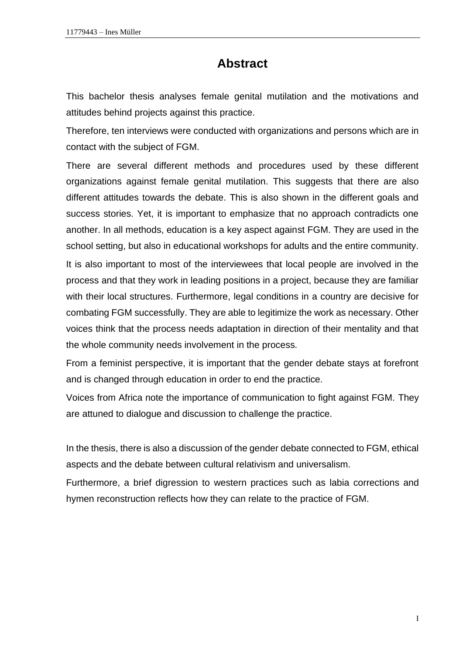## **Abstract**

This bachelor thesis analyses female genital mutilation and the motivations and attitudes behind projects against this practice.

Therefore, ten interviews were conducted with organizations and persons which are in contact with the subject of FGM.

There are several different methods and procedures used by these different organizations against female genital mutilation. This suggests that there are also different attitudes towards the debate. This is also shown in the different goals and success stories. Yet, it is important to emphasize that no approach contradicts one another. In all methods, education is a key aspect against FGM. They are used in the school setting, but also in educational workshops for adults and the entire community. It is also important to most of the interviewees that local people are involved in the process and that they work in leading positions in a project, because they are familiar with their local structures. Furthermore, legal conditions in a country are decisive for combating FGM successfully. They are able to legitimize the work as necessary. Other voices think that the process needs adaptation in direction of their mentality and that the whole community needs involvement in the process.

From a feminist perspective, it is important that the gender debate stays at forefront and is changed through education in order to end the practice.

Voices from Africa note the importance of communication to fight against FGM. They are attuned to dialogue and discussion to challenge the practice.

In the thesis, there is also a discussion of the gender debate connected to FGM, ethical aspects and the debate between cultural relativism and universalism.

Furthermore, a brief digression to western practices such as labia corrections and hymen reconstruction reflects how they can relate to the practice of FGM.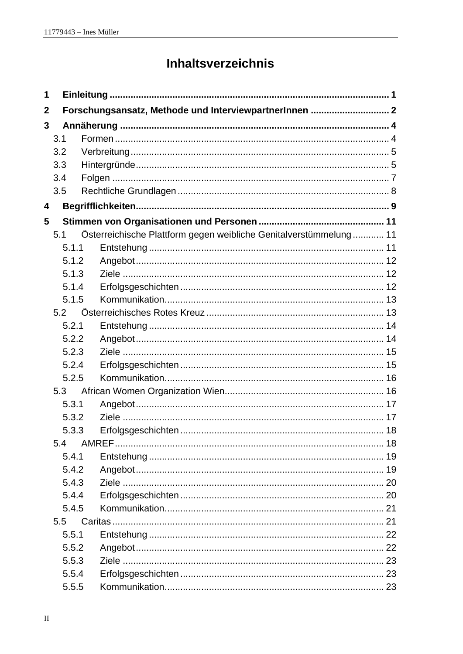## Inhaltsverzeichnis

| 1           |       |                                                                   |  |  |  |  |
|-------------|-------|-------------------------------------------------------------------|--|--|--|--|
| $\mathbf 2$ |       | Forschungsansatz, Methode und InterviewpartnerInnen  2            |  |  |  |  |
| 3           |       |                                                                   |  |  |  |  |
|             | 3.1   |                                                                   |  |  |  |  |
|             | 3.2   |                                                                   |  |  |  |  |
|             | 3.3   |                                                                   |  |  |  |  |
|             | 3.4   |                                                                   |  |  |  |  |
|             | 3.5   |                                                                   |  |  |  |  |
| 4           |       |                                                                   |  |  |  |  |
| 5           |       |                                                                   |  |  |  |  |
|             | 5.1   | Österreichische Plattform gegen weibliche Genitalverstümmelung 11 |  |  |  |  |
|             | 5.1.1 |                                                                   |  |  |  |  |
|             | 5.1.2 |                                                                   |  |  |  |  |
|             | 5.1.3 |                                                                   |  |  |  |  |
|             | 5.1.4 |                                                                   |  |  |  |  |
|             | 5.1.5 |                                                                   |  |  |  |  |
|             | 5.2   |                                                                   |  |  |  |  |
|             | 5.2.1 |                                                                   |  |  |  |  |
|             | 5.2.2 |                                                                   |  |  |  |  |
|             | 5.2.3 |                                                                   |  |  |  |  |
|             | 5.2.4 |                                                                   |  |  |  |  |
|             | 5.2.5 |                                                                   |  |  |  |  |
| 5.3         |       |                                                                   |  |  |  |  |
|             | 5.3.1 |                                                                   |  |  |  |  |
|             | 5.3.2 |                                                                   |  |  |  |  |
|             | 5.3.3 |                                                                   |  |  |  |  |
|             | 5.4   |                                                                   |  |  |  |  |
|             | 5.4.1 |                                                                   |  |  |  |  |
|             | 5.4.2 |                                                                   |  |  |  |  |
|             | 5.4.3 |                                                                   |  |  |  |  |
|             | 5.4.4 |                                                                   |  |  |  |  |
|             | 5.4.5 |                                                                   |  |  |  |  |
|             | 5.5   |                                                                   |  |  |  |  |
|             | 5.5.1 |                                                                   |  |  |  |  |
|             | 5.5.2 |                                                                   |  |  |  |  |
|             | 5.5.3 |                                                                   |  |  |  |  |
|             | 5.5.4 |                                                                   |  |  |  |  |
|             | 5.5.5 |                                                                   |  |  |  |  |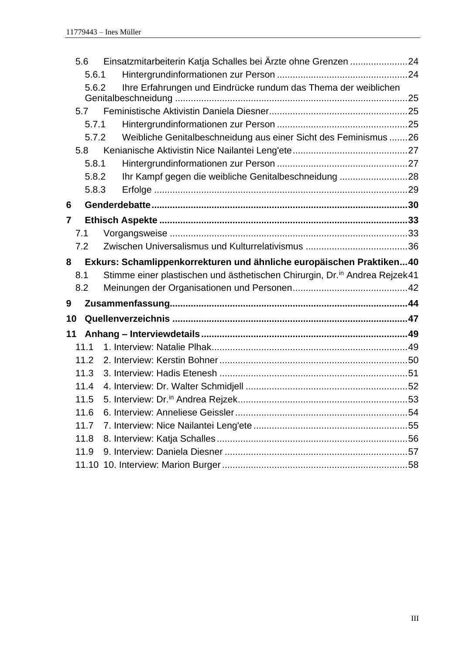|                                                                           | 5.6   | Einsatzmitarbeiterin Katja Schalles bei Ärzte ohne Grenzen 24               |    |
|---------------------------------------------------------------------------|-------|-----------------------------------------------------------------------------|----|
|                                                                           | 5.6.1 |                                                                             |    |
|                                                                           | 5.6.2 | Ihre Erfahrungen und Eindrücke rundum das Thema der weiblichen              |    |
|                                                                           |       |                                                                             |    |
|                                                                           | 5.7   |                                                                             |    |
|                                                                           | 5.7.1 |                                                                             |    |
|                                                                           | 5.7.2 | Weibliche Genitalbeschneidung aus einer Sicht des Feminismus 26             |    |
|                                                                           | 5.8   |                                                                             |    |
|                                                                           | 5.8.1 |                                                                             |    |
|                                                                           | 5.8.2 | Ihr Kampf gegen die weibliche Genitalbeschneidung 28                        |    |
|                                                                           | 5.8.3 |                                                                             |    |
| 6                                                                         |       |                                                                             |    |
| 7                                                                         |       |                                                                             |    |
|                                                                           | 7.1   |                                                                             |    |
|                                                                           | 7.2   |                                                                             |    |
| Exkurs: Schamlippenkorrekturen und ähnliche europäischen Praktiken40<br>8 |       |                                                                             |    |
|                                                                           | 8.1   | Stimme einer plastischen und ästhetischen Chirurgin, Dr. in Andrea Rejzek41 |    |
|                                                                           | 8.2   |                                                                             |    |
| 9                                                                         |       |                                                                             |    |
| 10                                                                        |       |                                                                             |    |
| 11                                                                        |       |                                                                             |    |
|                                                                           | 11.1  |                                                                             |    |
|                                                                           | 11.2  |                                                                             |    |
|                                                                           | 11.3  |                                                                             |    |
|                                                                           | 11.4  |                                                                             |    |
|                                                                           | 11.5  |                                                                             | 53 |
|                                                                           | 11.6  |                                                                             |    |
|                                                                           | 11.7  |                                                                             |    |
|                                                                           | 11.8  |                                                                             |    |
|                                                                           | 11.9  |                                                                             |    |
|                                                                           |       |                                                                             |    |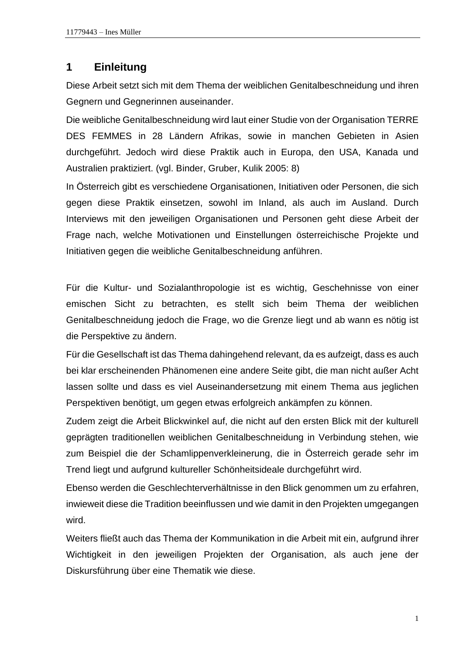## <span id="page-6-0"></span>**1 Einleitung**

Diese Arbeit setzt sich mit dem Thema der weiblichen Genitalbeschneidung und ihren Gegnern und Gegnerinnen auseinander.

Die weibliche Genitalbeschneidung wird laut einer Studie von der Organisation TERRE DES FEMMES in 28 Ländern Afrikas, sowie in manchen Gebieten in Asien durchgeführt. Jedoch wird diese Praktik auch in Europa, den USA, Kanada und Australien praktiziert. (vgl. Binder, Gruber, Kulik 2005: 8)

In Österreich gibt es verschiedene Organisationen, Initiativen oder Personen, die sich gegen diese Praktik einsetzen, sowohl im Inland, als auch im Ausland. Durch Interviews mit den jeweiligen Organisationen und Personen geht diese Arbeit der Frage nach, welche Motivationen und Einstellungen österreichische Projekte und Initiativen gegen die weibliche Genitalbeschneidung anführen.

Für die Kultur- und Sozialanthropologie ist es wichtig, Geschehnisse von einer emischen Sicht zu betrachten, es stellt sich beim Thema der weiblichen Genitalbeschneidung jedoch die Frage, wo die Grenze liegt und ab wann es nötig ist die Perspektive zu ändern.

Für die Gesellschaft ist das Thema dahingehend relevant, da es aufzeigt, dass es auch bei klar erscheinenden Phänomenen eine andere Seite gibt, die man nicht außer Acht lassen sollte und dass es viel Auseinandersetzung mit einem Thema aus jeglichen Perspektiven benötigt, um gegen etwas erfolgreich ankämpfen zu können.

Zudem zeigt die Arbeit Blickwinkel auf, die nicht auf den ersten Blick mit der kulturell geprägten traditionellen weiblichen Genitalbeschneidung in Verbindung stehen, wie zum Beispiel die der Schamlippenverkleinerung, die in Österreich gerade sehr im Trend liegt und aufgrund kultureller Schönheitsideale durchgeführt wird.

Ebenso werden die Geschlechterverhältnisse in den Blick genommen um zu erfahren, inwieweit diese die Tradition beeinflussen und wie damit in den Projekten umgegangen wird.

Weiters fließt auch das Thema der Kommunikation in die Arbeit mit ein, aufgrund ihrer Wichtigkeit in den jeweiligen Projekten der Organisation, als auch jene der Diskursführung über eine Thematik wie diese.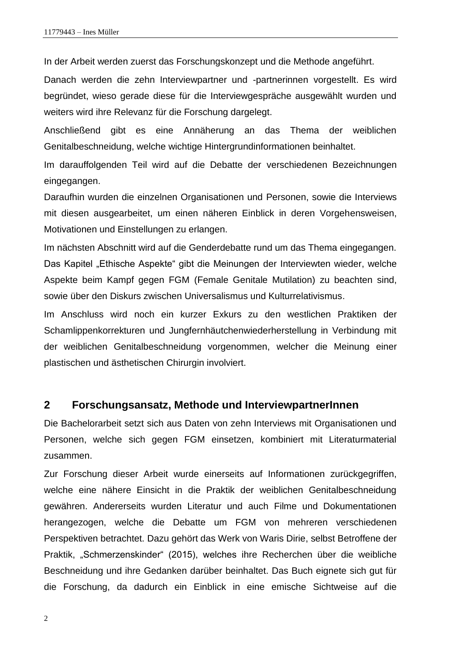In der Arbeit werden zuerst das Forschungskonzept und die Methode angeführt.

Danach werden die zehn Interviewpartner und -partnerinnen vorgestellt. Es wird begründet, wieso gerade diese für die Interviewgespräche ausgewählt wurden und weiters wird ihre Relevanz für die Forschung dargelegt.

Anschließend gibt es eine Annäherung an das Thema der weiblichen Genitalbeschneidung, welche wichtige Hintergrundinformationen beinhaltet.

Im darauffolgenden Teil wird auf die Debatte der verschiedenen Bezeichnungen eingegangen.

Daraufhin wurden die einzelnen Organisationen und Personen, sowie die Interviews mit diesen ausgearbeitet, um einen näheren Einblick in deren Vorgehensweisen, Motivationen und Einstellungen zu erlangen.

Im nächsten Abschnitt wird auf die Genderdebatte rund um das Thema eingegangen. Das Kapitel "Ethische Aspekte" gibt die Meinungen der Interviewten wieder, welche Aspekte beim Kampf gegen FGM (Female Genitale Mutilation) zu beachten sind, sowie über den Diskurs zwischen Universalismus und Kulturrelativismus.

Im Anschluss wird noch ein kurzer Exkurs zu den westlichen Praktiken der Schamlippenkorrekturen und Jungfernhäutchenwiederherstellung in Verbindung mit der weiblichen Genitalbeschneidung vorgenommen, welcher die Meinung einer plastischen und ästhetischen Chirurgin involviert.

#### <span id="page-7-0"></span>**2 Forschungsansatz, Methode und InterviewpartnerInnen**

Die Bachelorarbeit setzt sich aus Daten von zehn Interviews mit Organisationen und Personen, welche sich gegen FGM einsetzen, kombiniert mit Literaturmaterial zusammen.

Zur Forschung dieser Arbeit wurde einerseits auf Informationen zurückgegriffen, welche eine nähere Einsicht in die Praktik der weiblichen Genitalbeschneidung gewähren. Andererseits wurden Literatur und auch Filme und Dokumentationen herangezogen, welche die Debatte um FGM von mehreren verschiedenen Perspektiven betrachtet. Dazu gehört das Werk von Waris Dirie, selbst Betroffene der Praktik, "Schmerzenskinder" (2015), welches ihre Recherchen über die weibliche Beschneidung und ihre Gedanken darüber beinhaltet. Das Buch eignete sich gut für die Forschung, da dadurch ein Einblick in eine emische Sichtweise auf die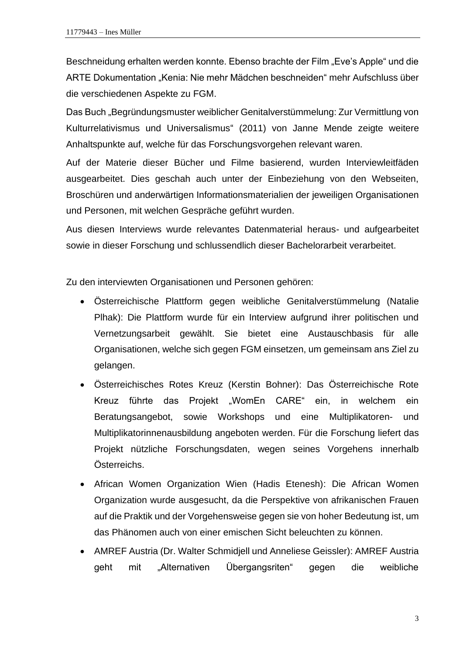Beschneidung erhalten werden konnte. Ebenso brachte der Film "Eve's Apple" und die ARTE Dokumentation "Kenia: Nie mehr Mädchen beschneiden" mehr Aufschluss über die verschiedenen Aspekte zu FGM.

Das Buch "Begründungsmuster weiblicher Genitalverstümmelung: Zur Vermittlung von Kulturrelativismus und Universalismus" (2011) von Janne Mende zeigte weitere Anhaltspunkte auf, welche für das Forschungsvorgehen relevant waren.

Auf der Materie dieser Bücher und Filme basierend, wurden Interviewleitfäden ausgearbeitet. Dies geschah auch unter der Einbeziehung von den Webseiten, Broschüren und anderwärtigen Informationsmaterialien der jeweiligen Organisationen und Personen, mit welchen Gespräche geführt wurden.

Aus diesen Interviews wurde relevantes Datenmaterial heraus- und aufgearbeitet sowie in dieser Forschung und schlussendlich dieser Bachelorarbeit verarbeitet.

Zu den interviewten Organisationen und Personen gehören:

- Österreichische Plattform gegen weibliche Genitalverstümmelung (Natalie Plhak): Die Plattform wurde für ein Interview aufgrund ihrer politischen und Vernetzungsarbeit gewählt. Sie bietet eine Austauschbasis für alle Organisationen, welche sich gegen FGM einsetzen, um gemeinsam ans Ziel zu gelangen.
- Österreichisches Rotes Kreuz (Kerstin Bohner): Das Österreichische Rote Kreuz führte das Projekt "WomEn CARE" ein, in welchem ein Beratungsangebot, sowie Workshops und eine Multiplikatoren- und Multiplikatorinnenausbildung angeboten werden. Für die Forschung liefert das Projekt nützliche Forschungsdaten, wegen seines Vorgehens innerhalb Österreichs.
- African Women Organization Wien (Hadis Etenesh): Die African Women Organization wurde ausgesucht, da die Perspektive von afrikanischen Frauen auf die Praktik und der Vorgehensweise gegen sie von hoher Bedeutung ist, um das Phänomen auch von einer emischen Sicht beleuchten zu können.
- AMREF Austria (Dr. Walter Schmidjell und Anneliese Geissler): AMREF Austria geht mit "Alternativen Übergangsriten" gegen die weibliche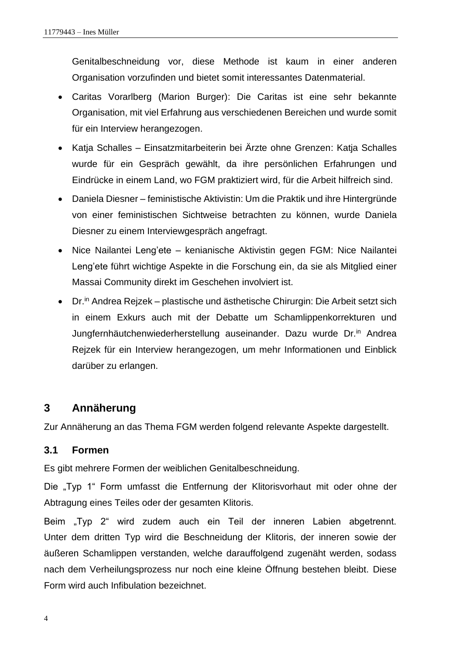Genitalbeschneidung vor, diese Methode ist kaum in einer anderen Organisation vorzufinden und bietet somit interessantes Datenmaterial.

- Caritas Vorarlberg (Marion Burger): Die Caritas ist eine sehr bekannte Organisation, mit viel Erfahrung aus verschiedenen Bereichen und wurde somit für ein Interview herangezogen.
- Katja Schalles Einsatzmitarbeiterin bei Ärzte ohne Grenzen: Katja Schalles wurde für ein Gespräch gewählt, da ihre persönlichen Erfahrungen und Eindrücke in einem Land, wo FGM praktiziert wird, für die Arbeit hilfreich sind.
- Daniela Diesner feministische Aktivistin: Um die Praktik und ihre Hintergründe von einer feministischen Sichtweise betrachten zu können, wurde Daniela Diesner zu einem Interviewgespräch angefragt.
- Nice Nailantei Leng'ete kenianische Aktivistin gegen FGM: Nice Nailantei Leng'ete führt wichtige Aspekte in die Forschung ein, da sie als Mitglied einer Massai Community direkt im Geschehen involviert ist.
- Dr.<sup>in</sup> Andrea Rejzek plastische und ästhetische Chirurgin: Die Arbeit setzt sich in einem Exkurs auch mit der Debatte um Schamlippenkorrekturen und Jungfernhäutchenwiederherstellung auseinander. Dazu wurde Dr.in Andrea Rejzek für ein Interview herangezogen, um mehr Informationen und Einblick darüber zu erlangen.

## <span id="page-9-0"></span>**3 Annäherung**

Zur Annäherung an das Thema FGM werden folgend relevante Aspekte dargestellt.

## <span id="page-9-1"></span>**3.1 Formen**

Es gibt mehrere Formen der weiblichen Genitalbeschneidung.

Die "Typ 1" Form umfasst die Entfernung der Klitorisvorhaut mit oder ohne der Abtragung eines Teiles oder der gesamten Klitoris.

Beim "Typ 2" wird zudem auch ein Teil der inneren Labien abgetrennt. Unter dem dritten Typ wird die Beschneidung der Klitoris, der inneren sowie der äußeren Schamlippen verstanden, welche darauffolgend zugenäht werden, sodass nach dem Verheilungsprozess nur noch eine kleine Öffnung bestehen bleibt. Diese Form wird auch Infibulation bezeichnet.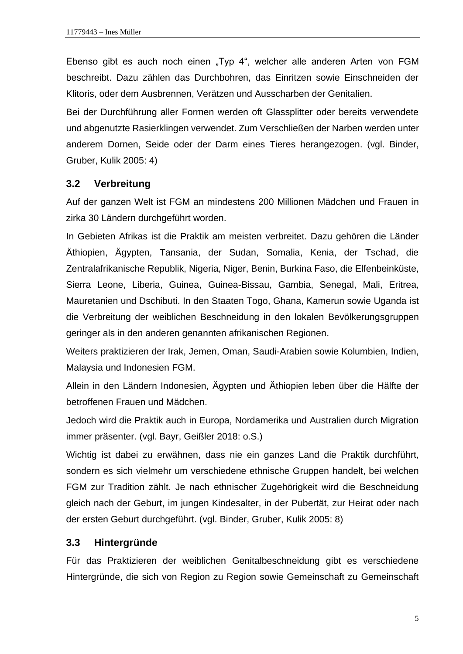Ebenso gibt es auch noch einen "Typ 4", welcher alle anderen Arten von FGM beschreibt. Dazu zählen das Durchbohren, das Einritzen sowie Einschneiden der Klitoris, oder dem Ausbrennen, Verätzen und Ausscharben der Genitalien.

Bei der Durchführung aller Formen werden oft Glassplitter oder bereits verwendete und abgenutzte Rasierklingen verwendet. Zum Verschließen der Narben werden unter anderem Dornen, Seide oder der Darm eines Tieres herangezogen. (vgl. Binder, Gruber, Kulik 2005: 4)

#### <span id="page-10-0"></span>**3.2 Verbreitung**

Auf der ganzen Welt ist FGM an mindestens 200 Millionen Mädchen und Frauen in zirka 30 Ländern durchgeführt worden.

In Gebieten Afrikas ist die Praktik am meisten verbreitet. Dazu gehören die Länder Äthiopien, Ägypten, Tansania, der Sudan, Somalia, Kenia, der Tschad, die Zentralafrikanische Republik, Nigeria, Niger, Benin, Burkina Faso, die Elfenbeinküste, Sierra Leone, Liberia, Guinea, Guinea-Bissau, Gambia, Senegal, Mali, Eritrea, Mauretanien und Dschibuti. In den Staaten Togo, Ghana, Kamerun sowie Uganda ist die Verbreitung der weiblichen Beschneidung in den lokalen Bevölkerungsgruppen geringer als in den anderen genannten afrikanischen Regionen.

Weiters praktizieren der Irak, Jemen, Oman, Saudi-Arabien sowie Kolumbien, Indien, Malaysia und Indonesien FGM.

Allein in den Ländern Indonesien, Ägypten und Äthiopien leben über die Hälfte der betroffenen Frauen und Mädchen.

Jedoch wird die Praktik auch in Europa, Nordamerika und Australien durch Migration immer präsenter. (vgl. Bayr, Geißler 2018: o.S.)

Wichtig ist dabei zu erwähnen, dass nie ein ganzes Land die Praktik durchführt, sondern es sich vielmehr um verschiedene ethnische Gruppen handelt, bei welchen FGM zur Tradition zählt. Je nach ethnischer Zugehörigkeit wird die Beschneidung gleich nach der Geburt, im jungen Kindesalter, in der Pubertät, zur Heirat oder nach der ersten Geburt durchgeführt. (vgl. Binder, Gruber, Kulik 2005: 8)

#### <span id="page-10-1"></span>**3.3 Hintergründe**

Für das Praktizieren der weiblichen Genitalbeschneidung gibt es verschiedene Hintergründe, die sich von Region zu Region sowie Gemeinschaft zu Gemeinschaft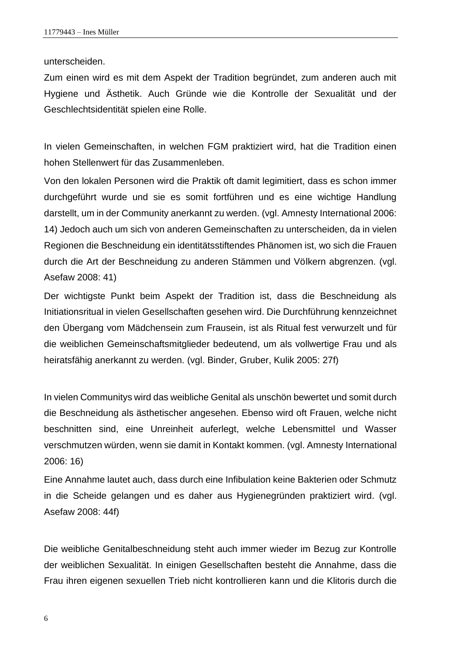unterscheiden.

Zum einen wird es mit dem Aspekt der Tradition begründet, zum anderen auch mit Hygiene und Ästhetik. Auch Gründe wie die Kontrolle der Sexualität und der Geschlechtsidentität spielen eine Rolle.

In vielen Gemeinschaften, in welchen FGM praktiziert wird, hat die Tradition einen hohen Stellenwert für das Zusammenleben.

Von den lokalen Personen wird die Praktik oft damit legimitiert, dass es schon immer durchgeführt wurde und sie es somit fortführen und es eine wichtige Handlung darstellt, um in der Community anerkannt zu werden. (vgl. Amnesty International 2006: 14) Jedoch auch um sich von anderen Gemeinschaften zu unterscheiden, da in vielen Regionen die Beschneidung ein identitätsstiftendes Phänomen ist, wo sich die Frauen durch die Art der Beschneidung zu anderen Stämmen und Völkern abgrenzen. (vgl. Asefaw 2008: 41)

Der wichtigste Punkt beim Aspekt der Tradition ist, dass die Beschneidung als Initiationsritual in vielen Gesellschaften gesehen wird. Die Durchführung kennzeichnet den Übergang vom Mädchensein zum Frausein, ist als Ritual fest verwurzelt und für die weiblichen Gemeinschaftsmitglieder bedeutend, um als vollwertige Frau und als heiratsfähig anerkannt zu werden. (vgl. Binder, Gruber, Kulik 2005: 27f)

In vielen Communitys wird das weibliche Genital als unschön bewertet und somit durch die Beschneidung als ästhetischer angesehen. Ebenso wird oft Frauen, welche nicht beschnitten sind, eine Unreinheit auferlegt, welche Lebensmittel und Wasser verschmutzen würden, wenn sie damit in Kontakt kommen. (vgl. Amnesty International 2006: 16)

Eine Annahme lautet auch, dass durch eine Infibulation keine Bakterien oder Schmutz in die Scheide gelangen und es daher aus Hygienegründen praktiziert wird. (vgl. Asefaw 2008: 44f)

Die weibliche Genitalbeschneidung steht auch immer wieder im Bezug zur Kontrolle der weiblichen Sexualität. In einigen Gesellschaften besteht die Annahme, dass die Frau ihren eigenen sexuellen Trieb nicht kontrollieren kann und die Klitoris durch die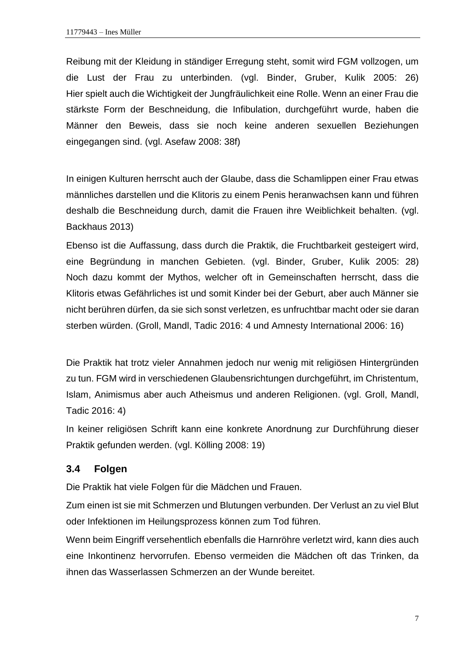Reibung mit der Kleidung in ständiger Erregung steht, somit wird FGM vollzogen, um die Lust der Frau zu unterbinden. (vgl. Binder, Gruber, Kulik 2005: 26) Hier spielt auch die Wichtigkeit der Jungfräulichkeit eine Rolle. Wenn an einer Frau die stärkste Form der Beschneidung, die Infibulation, durchgeführt wurde, haben die Männer den Beweis, dass sie noch keine anderen sexuellen Beziehungen eingegangen sind. (vgl. Asefaw 2008: 38f)

In einigen Kulturen herrscht auch der Glaube, dass die Schamlippen einer Frau etwas männliches darstellen und die Klitoris zu einem Penis heranwachsen kann und führen deshalb die Beschneidung durch, damit die Frauen ihre Weiblichkeit behalten. (vgl. Backhaus 2013)

Ebenso ist die Auffassung, dass durch die Praktik, die Fruchtbarkeit gesteigert wird, eine Begründung in manchen Gebieten. (vgl. Binder, Gruber, Kulik 2005: 28) Noch dazu kommt der Mythos, welcher oft in Gemeinschaften herrscht, dass die Klitoris etwas Gefährliches ist und somit Kinder bei der Geburt, aber auch Männer sie nicht berühren dürfen, da sie sich sonst verletzen, es unfruchtbar macht oder sie daran sterben würden. (Groll, Mandl, Tadic 2016: 4 und Amnesty International 2006: 16)

Die Praktik hat trotz vieler Annahmen jedoch nur wenig mit religiösen Hintergründen zu tun. FGM wird in verschiedenen Glaubensrichtungen durchgeführt, im Christentum, Islam, Animismus aber auch Atheismus und anderen Religionen. (vgl. Groll, Mandl, Tadic 2016: 4)

In keiner religiösen Schrift kann eine konkrete Anordnung zur Durchführung dieser Praktik gefunden werden. (vgl. Kölling 2008: 19)

## <span id="page-12-0"></span>**3.4 Folgen**

Die Praktik hat viele Folgen für die Mädchen und Frauen.

Zum einen ist sie mit Schmerzen und Blutungen verbunden. Der Verlust an zu viel Blut oder Infektionen im Heilungsprozess können zum Tod führen.

Wenn beim Eingriff versehentlich ebenfalls die Harnröhre verletzt wird, kann dies auch eine Inkontinenz hervorrufen. Ebenso vermeiden die Mädchen oft das Trinken, da ihnen das Wasserlassen Schmerzen an der Wunde bereitet.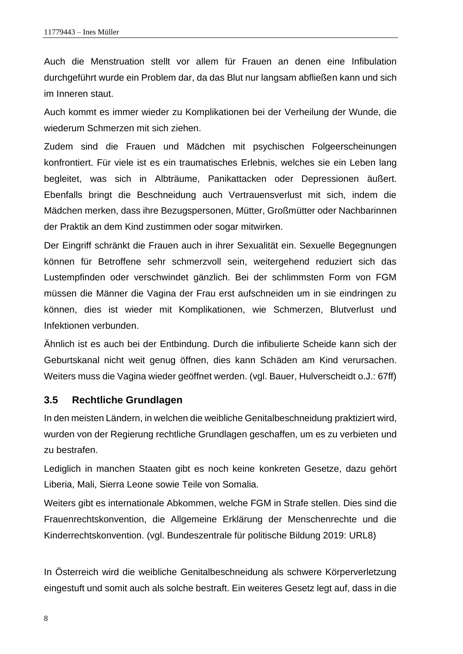Auch die Menstruation stellt vor allem für Frauen an denen eine Infibulation durchgeführt wurde ein Problem dar, da das Blut nur langsam abfließen kann und sich im Inneren staut.

Auch kommt es immer wieder zu Komplikationen bei der Verheilung der Wunde, die wiederum Schmerzen mit sich ziehen.

Zudem sind die Frauen und Mädchen mit psychischen Folgeerscheinungen konfrontiert. Für viele ist es ein traumatisches Erlebnis, welches sie ein Leben lang begleitet, was sich in Albträume, Panikattacken oder Depressionen äußert. Ebenfalls bringt die Beschneidung auch Vertrauensverlust mit sich, indem die Mädchen merken, dass ihre Bezugspersonen, Mütter, Großmütter oder Nachbarinnen der Praktik an dem Kind zustimmen oder sogar mitwirken.

Der Eingriff schränkt die Frauen auch in ihrer Sexualität ein. Sexuelle Begegnungen können für Betroffene sehr schmerzvoll sein, weitergehend reduziert sich das Lustempfinden oder verschwindet gänzlich. Bei der schlimmsten Form von FGM müssen die Männer die Vagina der Frau erst aufschneiden um in sie eindringen zu können, dies ist wieder mit Komplikationen, wie Schmerzen, Blutverlust und Infektionen verbunden.

Ähnlich ist es auch bei der Entbindung. Durch die infibulierte Scheide kann sich der Geburtskanal nicht weit genug öffnen, dies kann Schäden am Kind verursachen. Weiters muss die Vagina wieder geöffnet werden. (vgl. Bauer, Hulverscheidt o.J.: 67ff)

#### <span id="page-13-0"></span>**3.5 Rechtliche Grundlagen**

In den meisten Ländern, in welchen die weibliche Genitalbeschneidung praktiziert wird, wurden von der Regierung rechtliche Grundlagen geschaffen, um es zu verbieten und zu bestrafen.

Lediglich in manchen Staaten gibt es noch keine konkreten Gesetze, dazu gehört Liberia, Mali, Sierra Leone sowie Teile von Somalia.

Weiters gibt es internationale Abkommen, welche FGM in Strafe stellen. Dies sind die Frauenrechtskonvention, die Allgemeine Erklärung der Menschenrechte und die Kinderrechtskonvention. (vgl. Bundeszentrale für politische Bildung 2019: URL8)

In Österreich wird die weibliche Genitalbeschneidung als schwere Körperverletzung eingestuft und somit auch als solche bestraft. Ein weiteres Gesetz legt auf, dass in die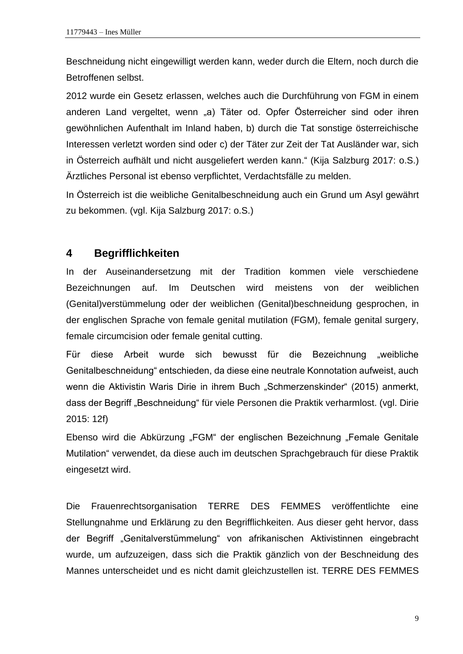Beschneidung nicht eingewilligt werden kann, weder durch die Eltern, noch durch die Betroffenen selbst.

2012 wurde ein Gesetz erlassen, welches auch die Durchführung von FGM in einem anderen Land vergeltet, wenn "a) Täter od. Opfer Österreicher sind oder ihren gewöhnlichen Aufenthalt im Inland haben, b) durch die Tat sonstige österreichische Interessen verletzt worden sind oder c) der Täter zur Zeit der Tat Ausländer war, sich in Österreich aufhält und nicht ausgeliefert werden kann." (Kija Salzburg 2017: o.S.) Ärztliches Personal ist ebenso verpflichtet, Verdachtsfälle zu melden.

In Österreich ist die weibliche Genitalbeschneidung auch ein Grund um Asyl gewährt zu bekommen. (vgl. Kija Salzburg 2017: o.S.)

## <span id="page-14-0"></span>**4 Begrifflichkeiten**

In der Auseinandersetzung mit der Tradition kommen viele verschiedene Bezeichnungen auf. Im Deutschen wird meistens von der weiblichen (Genital)verstümmelung oder der weiblichen (Genital)beschneidung gesprochen, in der englischen Sprache von female genital mutilation (FGM), female genital surgery, female circumcision oder female genital cutting.

Für diese Arbeit wurde sich bewusst für die Bezeichnung "weibliche Genitalbeschneidung" entschieden, da diese eine neutrale Konnotation aufweist, auch wenn die Aktivistin Waris Dirie in ihrem Buch "Schmerzenskinder" (2015) anmerkt, dass der Begriff "Beschneidung" für viele Personen die Praktik verharmlost. (vgl. Dirie 2015: 12f)

Ebenso wird die Abkürzung "FGM" der englischen Bezeichnung "Female Genitale Mutilation" verwendet, da diese auch im deutschen Sprachgebrauch für diese Praktik eingesetzt wird.

Die Frauenrechtsorganisation TERRE DES FEMMES veröffentlichte eine Stellungnahme und Erklärung zu den Begrifflichkeiten. Aus dieser geht hervor, dass der Begriff "Genitalverstümmelung" von afrikanischen Aktivistinnen eingebracht wurde, um aufzuzeigen, dass sich die Praktik gänzlich von der Beschneidung des Mannes unterscheidet und es nicht damit gleichzustellen ist. TERRE DES FEMMES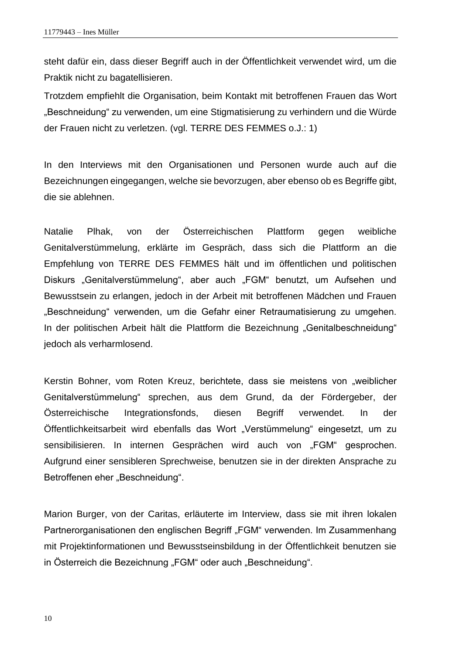steht dafür ein, dass dieser Begriff auch in der Öffentlichkeit verwendet wird, um die Praktik nicht zu bagatellisieren.

Trotzdem empfiehlt die Organisation, beim Kontakt mit betroffenen Frauen das Wort "Beschneidung" zu verwenden, um eine Stigmatisierung zu verhindern und die Würde der Frauen nicht zu verletzen. (vgl. TERRE DES FEMMES o.J.: 1)

In den Interviews mit den Organisationen und Personen wurde auch auf die Bezeichnungen eingegangen, welche sie bevorzugen, aber ebenso ob es Begriffe gibt, die sie ablehnen.

Natalie Plhak, von der Österreichischen Plattform gegen weibliche Genitalverstümmelung, erklärte im Gespräch, dass sich die Plattform an die Empfehlung von TERRE DES FEMMES hält und im öffentlichen und politischen Diskurs "Genitalverstümmelung", aber auch "FGM" benutzt, um Aufsehen und Bewusstsein zu erlangen, jedoch in der Arbeit mit betroffenen Mädchen und Frauen "Beschneidung" verwenden, um die Gefahr einer Retraumatisierung zu umgehen. In der politischen Arbeit hält die Plattform die Bezeichnung "Genitalbeschneidung" jedoch als verharmlosend.

Kerstin Bohner, vom Roten Kreuz, berichtete, dass sie meistens von "weiblicher Genitalverstümmelung" sprechen, aus dem Grund, da der Fördergeber, der Österreichische Integrationsfonds, diesen Begriff verwendet. In der Öffentlichkeitsarbeit wird ebenfalls das Wort "Verstümmelung" eingesetzt, um zu sensibilisieren. In internen Gesprächen wird auch von "FGM" gesprochen. Aufgrund einer sensibleren Sprechweise, benutzen sie in der direkten Ansprache zu Betroffenen eher "Beschneidung".

Marion Burger, von der Caritas, erläuterte im Interview, dass sie mit ihren lokalen Partnerorganisationen den englischen Begriff "FGM" verwenden. Im Zusammenhang mit Projektinformationen und Bewusstseinsbildung in der Öffentlichkeit benutzen sie in Österreich die Bezeichnung "FGM" oder auch "Beschneidung".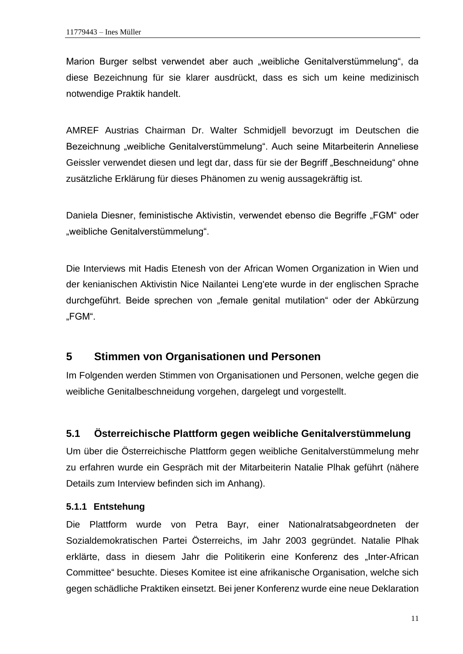Marion Burger selbst verwendet aber auch "weibliche Genitalverstümmelung", da diese Bezeichnung für sie klarer ausdrückt, dass es sich um keine medizinisch notwendige Praktik handelt.

AMREF Austrias Chairman Dr. Walter Schmidjell bevorzugt im Deutschen die Bezeichnung "weibliche Genitalverstümmelung". Auch seine Mitarbeiterin Anneliese Geissler verwendet diesen und legt dar, dass für sie der Begriff "Beschneidung" ohne zusätzliche Erklärung für dieses Phänomen zu wenig aussagekräftig ist.

Daniela Diesner, feministische Aktivistin, verwendet ebenso die Begriffe "FGM" oder "weibliche Genitalverstümmelung".

Die Interviews mit Hadis Etenesh von der African Women Organization in Wien und der kenianischen Aktivistin Nice Nailantei Leng'ete wurde in der englischen Sprache durchgeführt. Beide sprechen von "female genital mutilation" oder der Abkürzung "FGM".

## <span id="page-16-0"></span>**5 Stimmen von Organisationen und Personen**

Im Folgenden werden Stimmen von Organisationen und Personen, welche gegen die weibliche Genitalbeschneidung vorgehen, dargelegt und vorgestellt.

## <span id="page-16-1"></span>**5.1 Österreichische Plattform gegen weibliche Genitalverstümmelung**

Um über die Österreichische Plattform gegen weibliche Genitalverstümmelung mehr zu erfahren wurde ein Gespräch mit der Mitarbeiterin Natalie Plhak geführt (nähere Details zum Interview befinden sich im Anhang).

#### <span id="page-16-2"></span>**5.1.1 Entstehung**

Die Plattform wurde von Petra Bayr, einer Nationalratsabgeordneten der Sozialdemokratischen Partei Österreichs, im Jahr 2003 gegründet. Natalie Plhak erklärte, dass in diesem Jahr die Politikerin eine Konferenz des "Inter-African Committee" besuchte. Dieses Komitee ist eine afrikanische Organisation, welche sich gegen schädliche Praktiken einsetzt. Bei jener Konferenz wurde eine neue Deklaration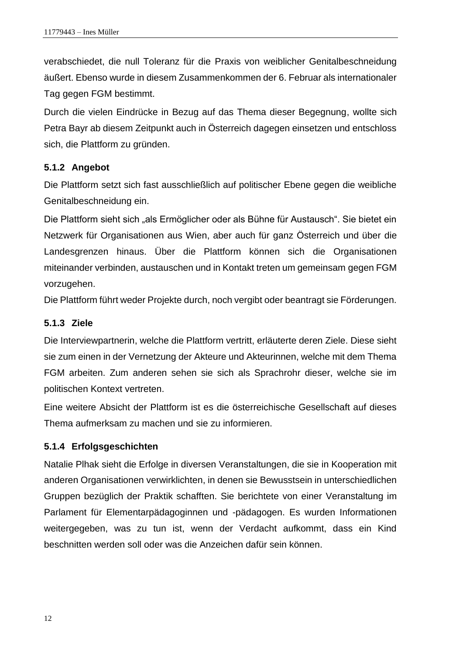verabschiedet, die null Toleranz für die Praxis von weiblicher Genitalbeschneidung äußert. Ebenso wurde in diesem Zusammenkommen der 6. Februar als internationaler Tag gegen FGM bestimmt.

Durch die vielen Eindrücke in Bezug auf das Thema dieser Begegnung, wollte sich Petra Bayr ab diesem Zeitpunkt auch in Österreich dagegen einsetzen und entschloss sich, die Plattform zu gründen.

#### <span id="page-17-0"></span>**5.1.2 Angebot**

Die Plattform setzt sich fast ausschließlich auf politischer Ebene gegen die weibliche Genitalbeschneidung ein.

Die Plattform sieht sich "als Ermöglicher oder als Bühne für Austausch". Sie bietet ein Netzwerk für Organisationen aus Wien, aber auch für ganz Österreich und über die Landesgrenzen hinaus. Über die Plattform können sich die Organisationen miteinander verbinden, austauschen und in Kontakt treten um gemeinsam gegen FGM vorzugehen.

Die Plattform führt weder Projekte durch, noch vergibt oder beantragt sie Förderungen.

### <span id="page-17-1"></span>**5.1.3 Ziele**

Die Interviewpartnerin, welche die Plattform vertritt, erläuterte deren Ziele. Diese sieht sie zum einen in der Vernetzung der Akteure und Akteurinnen, welche mit dem Thema FGM arbeiten. Zum anderen sehen sie sich als Sprachrohr dieser, welche sie im politischen Kontext vertreten.

Eine weitere Absicht der Plattform ist es die österreichische Gesellschaft auf dieses Thema aufmerksam zu machen und sie zu informieren.

## <span id="page-17-2"></span>**5.1.4 Erfolgsgeschichten**

Natalie Plhak sieht die Erfolge in diversen Veranstaltungen, die sie in Kooperation mit anderen Organisationen verwirklichten, in denen sie Bewusstsein in unterschiedlichen Gruppen bezüglich der Praktik schafften. Sie berichtete von einer Veranstaltung im Parlament für Elementarpädagoginnen und -pädagogen. Es wurden Informationen weitergegeben, was zu tun ist, wenn der Verdacht aufkommt, dass ein Kind beschnitten werden soll oder was die Anzeichen dafür sein können.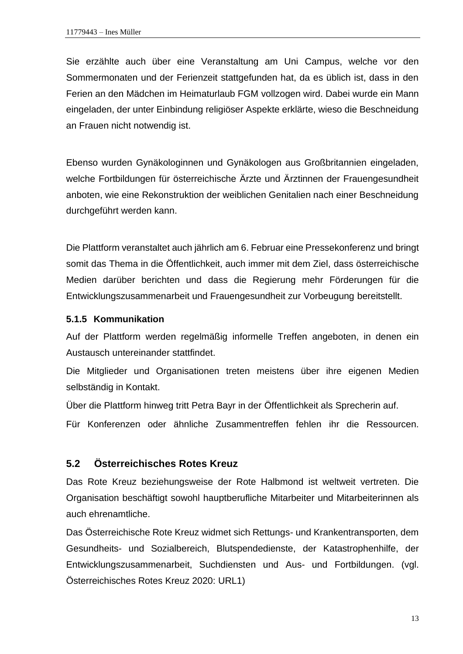Sie erzählte auch über eine Veranstaltung am Uni Campus, welche vor den Sommermonaten und der Ferienzeit stattgefunden hat, da es üblich ist, dass in den Ferien an den Mädchen im Heimaturlaub FGM vollzogen wird. Dabei wurde ein Mann eingeladen, der unter Einbindung religiöser Aspekte erklärte, wieso die Beschneidung an Frauen nicht notwendig ist.

Ebenso wurden Gynäkologinnen und Gynäkologen aus Großbritannien eingeladen, welche Fortbildungen für österreichische Ärzte und Ärztinnen der Frauengesundheit anboten, wie eine Rekonstruktion der weiblichen Genitalien nach einer Beschneidung durchgeführt werden kann.

Die Plattform veranstaltet auch jährlich am 6. Februar eine Pressekonferenz und bringt somit das Thema in die Öffentlichkeit, auch immer mit dem Ziel, dass österreichische Medien darüber berichten und dass die Regierung mehr Förderungen für die Entwicklungszusammenarbeit und Frauengesundheit zur Vorbeugung bereitstellt.

#### <span id="page-18-0"></span>**5.1.5 Kommunikation**

Auf der Plattform werden regelmäßig informelle Treffen angeboten, in denen ein Austausch untereinander stattfindet.

Die Mitglieder und Organisationen treten meistens über ihre eigenen Medien selbständig in Kontakt.

Über die Plattform hinweg tritt Petra Bayr in der Öffentlichkeit als Sprecherin auf.

Für Konferenzen oder ähnliche Zusammentreffen fehlen ihr die Ressourcen.

## <span id="page-18-1"></span>**5.2 Österreichisches Rotes Kreuz**

Das Rote Kreuz beziehungsweise der Rote Halbmond ist weltweit vertreten. Die Organisation beschäftigt sowohl hauptberufliche Mitarbeiter und Mitarbeiterinnen als auch ehrenamtliche.

Das Österreichische Rote Kreuz widmet sich Rettungs- und Krankentransporten, dem Gesundheits- und Sozialbereich, Blutspendedienste, der Katastrophenhilfe, der Entwicklungszusammenarbeit, Suchdiensten und Aus- und Fortbildungen. (vgl. Österreichisches Rotes Kreuz 2020: URL1)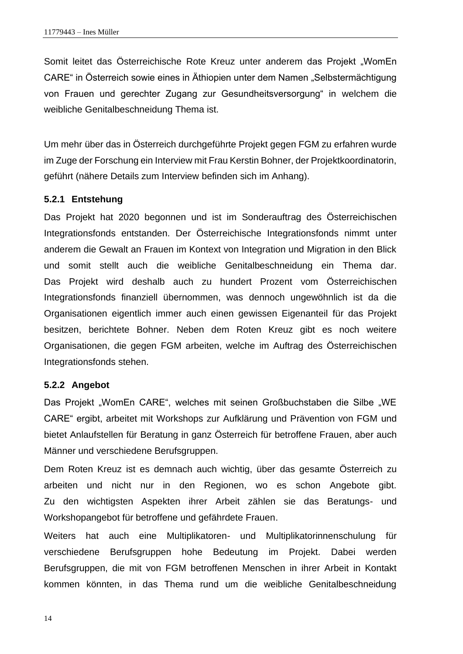Somit leitet das Österreichische Rote Kreuz unter anderem das Projekt "WomEn CARE" in Österreich sowie eines in Äthiopien unter dem Namen "Selbstermächtigung von Frauen und gerechter Zugang zur Gesundheitsversorgung" in welchem die weibliche Genitalbeschneidung Thema ist.

Um mehr über das in Österreich durchgeführte Projekt gegen FGM zu erfahren wurde im Zuge der Forschung ein Interview mit Frau Kerstin Bohner, der Projektkoordinatorin, geführt (nähere Details zum Interview befinden sich im Anhang).

#### <span id="page-19-0"></span>**5.2.1 Entstehung**

Das Projekt hat 2020 begonnen und ist im Sonderauftrag des Österreichischen Integrationsfonds entstanden. Der Österreichische Integrationsfonds nimmt unter anderem die Gewalt an Frauen im Kontext von Integration und Migration in den Blick und somit stellt auch die weibliche Genitalbeschneidung ein Thema dar. Das Projekt wird deshalb auch zu hundert Prozent vom Österreichischen Integrationsfonds finanziell übernommen, was dennoch ungewöhnlich ist da die Organisationen eigentlich immer auch einen gewissen Eigenanteil für das Projekt besitzen, berichtete Bohner. Neben dem Roten Kreuz gibt es noch weitere Organisationen, die gegen FGM arbeiten, welche im Auftrag des Österreichischen Integrationsfonds stehen.

#### <span id="page-19-1"></span>**5.2.2 Angebot**

Das Projekt "WomEn CARE", welches mit seinen Großbuchstaben die Silbe "WE CARE" ergibt, arbeitet mit Workshops zur Aufklärung und Prävention von FGM und bietet Anlaufstellen für Beratung in ganz Österreich für betroffene Frauen, aber auch Männer und verschiedene Berufsgruppen.

Dem Roten Kreuz ist es demnach auch wichtig, über das gesamte Österreich zu arbeiten und nicht nur in den Regionen, wo es schon Angebote gibt. Zu den wichtigsten Aspekten ihrer Arbeit zählen sie das Beratungs- und Workshopangebot für betroffene und gefährdete Frauen.

Weiters hat auch eine Multiplikatoren- und Multiplikatorinnenschulung für verschiedene Berufsgruppen hohe Bedeutung im Projekt. Dabei werden Berufsgruppen, die mit von FGM betroffenen Menschen in ihrer Arbeit in Kontakt kommen könnten, in das Thema rund um die weibliche Genitalbeschneidung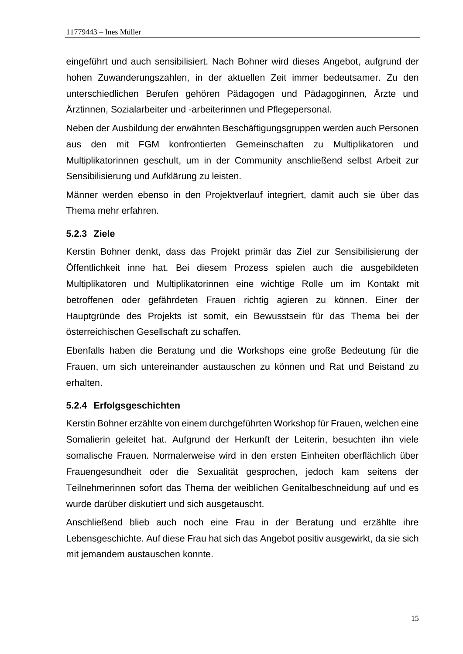eingeführt und auch sensibilisiert. Nach Bohner wird dieses Angebot, aufgrund der hohen Zuwanderungszahlen, in der aktuellen Zeit immer bedeutsamer. Zu den unterschiedlichen Berufen gehören Pädagogen und Pädagoginnen, Ärzte und Ärztinnen, Sozialarbeiter und -arbeiterinnen und Pflegepersonal.

Neben der Ausbildung der erwähnten Beschäftigungsgruppen werden auch Personen aus den mit FGM konfrontierten Gemeinschaften zu Multiplikatoren und Multiplikatorinnen geschult, um in der Community anschließend selbst Arbeit zur Sensibilisierung und Aufklärung zu leisten.

Männer werden ebenso in den Projektverlauf integriert, damit auch sie über das Thema mehr erfahren.

#### <span id="page-20-0"></span>**5.2.3 Ziele**

Kerstin Bohner denkt, dass das Projekt primär das Ziel zur Sensibilisierung der Öffentlichkeit inne hat. Bei diesem Prozess spielen auch die ausgebildeten Multiplikatoren und Multiplikatorinnen eine wichtige Rolle um im Kontakt mit betroffenen oder gefährdeten Frauen richtig agieren zu können. Einer der Hauptgründe des Projekts ist somit, ein Bewusstsein für das Thema bei der österreichischen Gesellschaft zu schaffen.

Ebenfalls haben die Beratung und die Workshops eine große Bedeutung für die Frauen, um sich untereinander austauschen zu können und Rat und Beistand zu erhalten.

#### <span id="page-20-1"></span>**5.2.4 Erfolgsgeschichten**

Kerstin Bohner erzählte von einem durchgeführten Workshop für Frauen, welchen eine Somalierin geleitet hat. Aufgrund der Herkunft der Leiterin, besuchten ihn viele somalische Frauen. Normalerweise wird in den ersten Einheiten oberflächlich über Frauengesundheit oder die Sexualität gesprochen, jedoch kam seitens der Teilnehmerinnen sofort das Thema der weiblichen Genitalbeschneidung auf und es wurde darüber diskutiert und sich ausgetauscht.

Anschließend blieb auch noch eine Frau in der Beratung und erzählte ihre Lebensgeschichte. Auf diese Frau hat sich das Angebot positiv ausgewirkt, da sie sich mit jemandem austauschen konnte.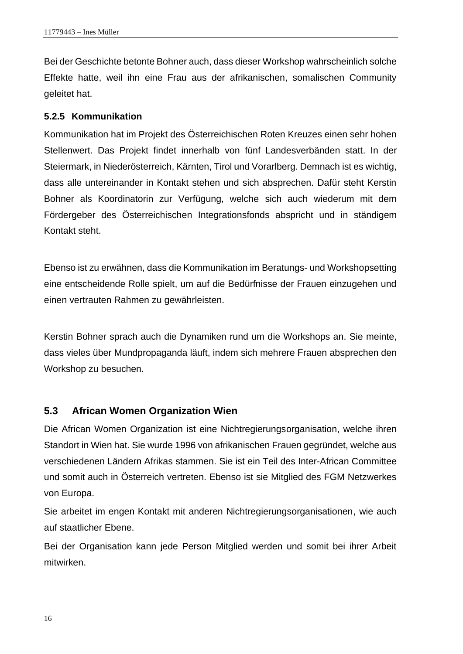Bei der Geschichte betonte Bohner auch, dass dieser Workshop wahrscheinlich solche Effekte hatte, weil ihn eine Frau aus der afrikanischen, somalischen Community geleitet hat.

#### <span id="page-21-0"></span>**5.2.5 Kommunikation**

Kommunikation hat im Projekt des Österreichischen Roten Kreuzes einen sehr hohen Stellenwert. Das Projekt findet innerhalb von fünf Landesverbänden statt. In der Steiermark, in Niederösterreich, Kärnten, Tirol und Vorarlberg. Demnach ist es wichtig, dass alle untereinander in Kontakt stehen und sich absprechen. Dafür steht Kerstin Bohner als Koordinatorin zur Verfügung, welche sich auch wiederum mit dem Fördergeber des Österreichischen Integrationsfonds abspricht und in ständigem Kontakt steht.

Ebenso ist zu erwähnen, dass die Kommunikation im Beratungs- und Workshopsetting eine entscheidende Rolle spielt, um auf die Bedürfnisse der Frauen einzugehen und einen vertrauten Rahmen zu gewährleisten.

Kerstin Bohner sprach auch die Dynamiken rund um die Workshops an. Sie meinte, dass vieles über Mundpropaganda läuft, indem sich mehrere Frauen absprechen den Workshop zu besuchen.

#### <span id="page-21-1"></span>**5.3 African Women Organization Wien**

Die African Women Organization ist eine Nichtregierungsorganisation, welche ihren Standort in Wien hat. Sie wurde 1996 von afrikanischen Frauen gegründet, welche aus verschiedenen Ländern Afrikas stammen. Sie ist ein Teil des Inter-African Committee und somit auch in Österreich vertreten. Ebenso ist sie Mitglied des FGM Netzwerkes von Europa.

Sie arbeitet im engen Kontakt mit anderen Nichtregierungsorganisationen, wie auch auf staatlicher Ebene.

Bei der Organisation kann jede Person Mitglied werden und somit bei ihrer Arbeit mitwirken.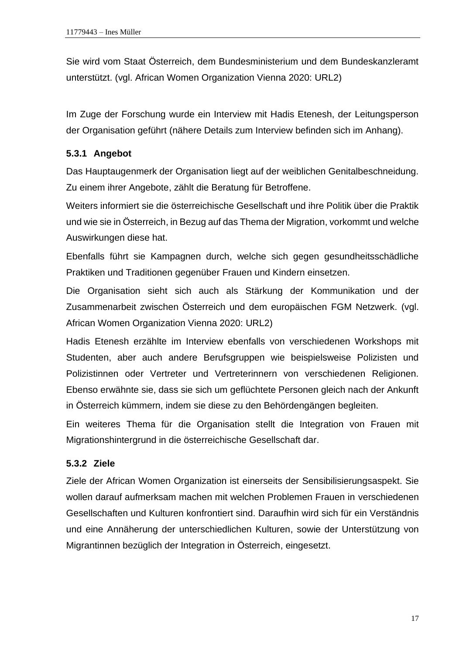Sie wird vom Staat Österreich, dem Bundesministerium und dem Bundeskanzleramt unterstützt. (vgl. African Women Organization Vienna 2020: URL2)

Im Zuge der Forschung wurde ein Interview mit Hadis Etenesh, der Leitungsperson der Organisation geführt (nähere Details zum Interview befinden sich im Anhang).

## <span id="page-22-0"></span>**5.3.1 Angebot**

Das Hauptaugenmerk der Organisation liegt auf der weiblichen Genitalbeschneidung. Zu einem ihrer Angebote, zählt die Beratung für Betroffene.

Weiters informiert sie die österreichische Gesellschaft und ihre Politik über die Praktik und wie sie in Österreich, in Bezug auf das Thema der Migration, vorkommt und welche Auswirkungen diese hat.

Ebenfalls führt sie Kampagnen durch, welche sich gegen gesundheitsschädliche Praktiken und Traditionen gegenüber Frauen und Kindern einsetzen.

Die Organisation sieht sich auch als Stärkung der Kommunikation und der Zusammenarbeit zwischen Österreich und dem europäischen FGM Netzwerk. (vgl. African Women Organization Vienna 2020: URL2)

Hadis Etenesh erzählte im Interview ebenfalls von verschiedenen Workshops mit Studenten, aber auch andere Berufsgruppen wie beispielsweise Polizisten und Polizistinnen oder Vertreter und Vertreterinnern von verschiedenen Religionen. Ebenso erwähnte sie, dass sie sich um geflüchtete Personen gleich nach der Ankunft in Österreich kümmern, indem sie diese zu den Behördengängen begleiten.

Ein weiteres Thema für die Organisation stellt die Integration von Frauen mit Migrationshintergrund in die österreichische Gesellschaft dar.

## <span id="page-22-1"></span>**5.3.2 Ziele**

Ziele der African Women Organization ist einerseits der Sensibilisierungsaspekt. Sie wollen darauf aufmerksam machen mit welchen Problemen Frauen in verschiedenen Gesellschaften und Kulturen konfrontiert sind. Daraufhin wird sich für ein Verständnis und eine Annäherung der unterschiedlichen Kulturen, sowie der Unterstützung von Migrantinnen bezüglich der Integration in Österreich, eingesetzt.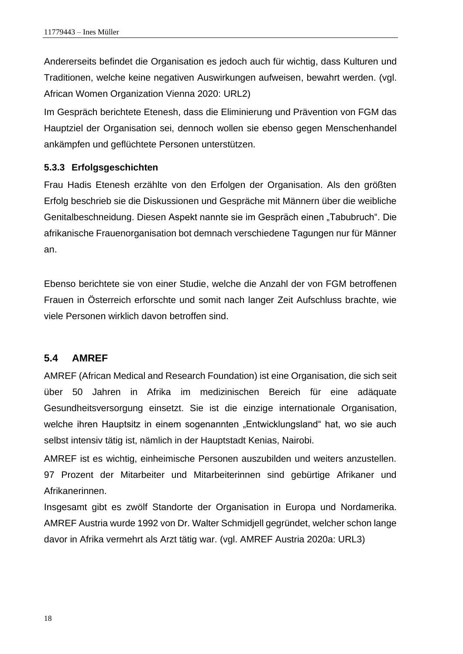Andererseits befindet die Organisation es jedoch auch für wichtig, dass Kulturen und Traditionen, welche keine negativen Auswirkungen aufweisen, bewahrt werden. (vgl. African Women Organization Vienna 2020: URL2)

Im Gespräch berichtete Etenesh, dass die Eliminierung und Prävention von FGM das Hauptziel der Organisation sei, dennoch wollen sie ebenso gegen Menschenhandel ankämpfen und geflüchtete Personen unterstützen.

#### <span id="page-23-0"></span>**5.3.3 Erfolgsgeschichten**

Frau Hadis Etenesh erzählte von den Erfolgen der Organisation. Als den größten Erfolg beschrieb sie die Diskussionen und Gespräche mit Männern über die weibliche Genitalbeschneidung. Diesen Aspekt nannte sie im Gespräch einen "Tabubruch". Die afrikanische Frauenorganisation bot demnach verschiedene Tagungen nur für Männer an.

Ebenso berichtete sie von einer Studie, welche die Anzahl der von FGM betroffenen Frauen in Österreich erforschte und somit nach langer Zeit Aufschluss brachte, wie viele Personen wirklich davon betroffen sind.

#### <span id="page-23-1"></span>**5.4 AMREF**

AMREF (African Medical and Research Foundation) ist eine Organisation, die sich seit über 50 Jahren in Afrika im medizinischen Bereich für eine adäquate Gesundheitsversorgung einsetzt. Sie ist die einzige internationale Organisation, welche ihren Hauptsitz in einem sogenannten "Entwicklungsland" hat, wo sie auch selbst intensiv tätig ist, nämlich in der Hauptstadt Kenias, Nairobi.

AMREF ist es wichtig, einheimische Personen auszubilden und weiters anzustellen. 97 Prozent der Mitarbeiter und Mitarbeiterinnen sind gebürtige Afrikaner und Afrikanerinnen.

Insgesamt gibt es zwölf Standorte der Organisation in Europa und Nordamerika. AMREF Austria wurde 1992 von Dr. Walter Schmidjell gegründet, welcher schon lange davor in Afrika vermehrt als Arzt tätig war. (vgl. AMREF Austria 2020a: URL3)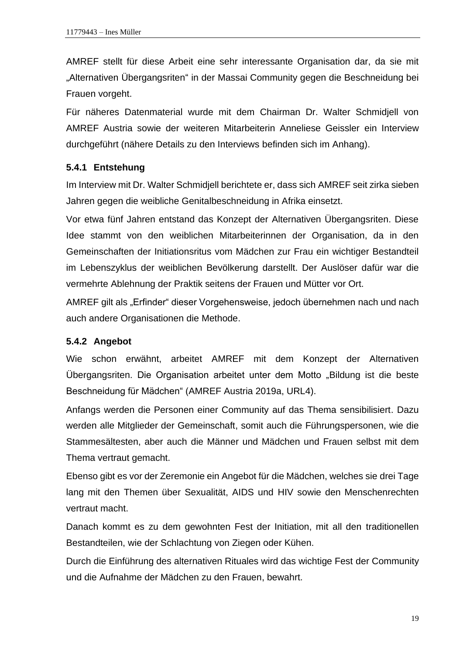AMREF stellt für diese Arbeit eine sehr interessante Organisation dar, da sie mit "Alternativen Übergangsriten" in der Massai Community gegen die Beschneidung bei Frauen vorgeht.

Für näheres Datenmaterial wurde mit dem Chairman Dr. Walter Schmidjell von AMREF Austria sowie der weiteren Mitarbeiterin Anneliese Geissler ein Interview durchgeführt (nähere Details zu den Interviews befinden sich im Anhang).

#### <span id="page-24-0"></span>**5.4.1 Entstehung**

Im Interview mit Dr. Walter Schmidjell berichtete er, dass sich AMREF seit zirka sieben Jahren gegen die weibliche Genitalbeschneidung in Afrika einsetzt.

Vor etwa fünf Jahren entstand das Konzept der Alternativen Übergangsriten. Diese Idee stammt von den weiblichen Mitarbeiterinnen der Organisation, da in den Gemeinschaften der Initiationsritus vom Mädchen zur Frau ein wichtiger Bestandteil im Lebenszyklus der weiblichen Bevölkerung darstellt. Der Auslöser dafür war die vermehrte Ablehnung der Praktik seitens der Frauen und Mütter vor Ort.

AMREF gilt als "Erfinder" dieser Vorgehensweise, jedoch übernehmen nach und nach auch andere Organisationen die Methode.

#### <span id="page-24-1"></span>**5.4.2 Angebot**

Wie schon erwähnt, arbeitet AMREF mit dem Konzept der Alternativen Übergangsriten. Die Organisation arbeitet unter dem Motto "Bildung ist die beste Beschneidung für Mädchen" (AMREF Austria 2019a, URL4).

Anfangs werden die Personen einer Community auf das Thema sensibilisiert. Dazu werden alle Mitglieder der Gemeinschaft, somit auch die Führungspersonen, wie die Stammesältesten, aber auch die Männer und Mädchen und Frauen selbst mit dem Thema vertraut gemacht.

Ebenso gibt es vor der Zeremonie ein Angebot für die Mädchen, welches sie drei Tage lang mit den Themen über Sexualität, AIDS und HIV sowie den Menschenrechten vertraut macht.

Danach kommt es zu dem gewohnten Fest der Initiation, mit all den traditionellen Bestandteilen, wie der Schlachtung von Ziegen oder Kühen.

Durch die Einführung des alternativen Rituales wird das wichtige Fest der Community und die Aufnahme der Mädchen zu den Frauen, bewahrt.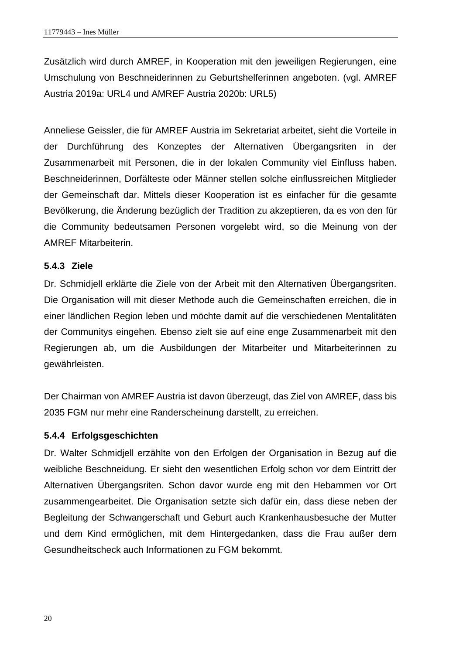Zusätzlich wird durch AMREF, in Kooperation mit den jeweiligen Regierungen, eine Umschulung von Beschneiderinnen zu Geburtshelferinnen angeboten. (vgl. AMREF Austria 2019a: URL4 und AMREF Austria 2020b: URL5)

Anneliese Geissler, die für AMREF Austria im Sekretariat arbeitet, sieht die Vorteile in der Durchführung des Konzeptes der Alternativen Übergangsriten in der Zusammenarbeit mit Personen, die in der lokalen Community viel Einfluss haben. Beschneiderinnen, Dorfälteste oder Männer stellen solche einflussreichen Mitglieder der Gemeinschaft dar. Mittels dieser Kooperation ist es einfacher für die gesamte Bevölkerung, die Änderung bezüglich der Tradition zu akzeptieren, da es von den für die Community bedeutsamen Personen vorgelebt wird, so die Meinung von der AMREF Mitarbeiterin.

#### <span id="page-25-0"></span>**5.4.3 Ziele**

Dr. Schmidjell erklärte die Ziele von der Arbeit mit den Alternativen Übergangsriten. Die Organisation will mit dieser Methode auch die Gemeinschaften erreichen, die in einer ländlichen Region leben und möchte damit auf die verschiedenen Mentalitäten der Communitys eingehen. Ebenso zielt sie auf eine enge Zusammenarbeit mit den Regierungen ab, um die Ausbildungen der Mitarbeiter und Mitarbeiterinnen zu gewährleisten.

Der Chairman von AMREF Austria ist davon überzeugt, das Ziel von AMREF, dass bis 2035 FGM nur mehr eine Randerscheinung darstellt, zu erreichen.

#### <span id="page-25-1"></span>**5.4.4 Erfolgsgeschichten**

Dr. Walter Schmidjell erzählte von den Erfolgen der Organisation in Bezug auf die weibliche Beschneidung. Er sieht den wesentlichen Erfolg schon vor dem Eintritt der Alternativen Übergangsriten. Schon davor wurde eng mit den Hebammen vor Ort zusammengearbeitet. Die Organisation setzte sich dafür ein, dass diese neben der Begleitung der Schwangerschaft und Geburt auch Krankenhausbesuche der Mutter und dem Kind ermöglichen, mit dem Hintergedanken, dass die Frau außer dem Gesundheitscheck auch Informationen zu FGM bekommt.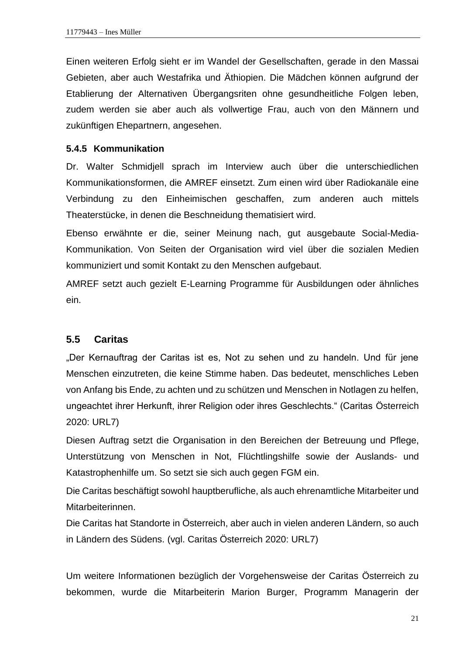Einen weiteren Erfolg sieht er im Wandel der Gesellschaften, gerade in den Massai Gebieten, aber auch Westafrika und Äthiopien. Die Mädchen können aufgrund der Etablierung der Alternativen Übergangsriten ohne gesundheitliche Folgen leben, zudem werden sie aber auch als vollwertige Frau, auch von den Männern und zukünftigen Ehepartnern, angesehen.

#### <span id="page-26-0"></span>**5.4.5 Kommunikation**

Dr. Walter Schmidjell sprach im Interview auch über die unterschiedlichen Kommunikationsformen, die AMREF einsetzt. Zum einen wird über Radiokanäle eine Verbindung zu den Einheimischen geschaffen, zum anderen auch mittels Theaterstücke, in denen die Beschneidung thematisiert wird.

Ebenso erwähnte er die, seiner Meinung nach, gut ausgebaute Social-Media-Kommunikation. Von Seiten der Organisation wird viel über die sozialen Medien kommuniziert und somit Kontakt zu den Menschen aufgebaut.

AMREF setzt auch gezielt E-Learning Programme für Ausbildungen oder ähnliches ein.

#### <span id="page-26-1"></span>**5.5 Caritas**

"Der Kernauftrag der Caritas ist es, Not zu sehen und zu handeln. Und für jene Menschen einzutreten, die keine Stimme haben. Das bedeutet, menschliches Leben von Anfang bis Ende, zu achten und zu schützen und Menschen in Notlagen zu helfen, ungeachtet ihrer Herkunft, ihrer Religion oder ihres Geschlechts." (Caritas Österreich 2020: URL7)

Diesen Auftrag setzt die Organisation in den Bereichen der Betreuung und Pflege, Unterstützung von Menschen in Not, Flüchtlingshilfe sowie der Auslands- und Katastrophenhilfe um. So setzt sie sich auch gegen FGM ein.

Die Caritas beschäftigt sowohl hauptberufliche, als auch ehrenamtliche Mitarbeiter und Mitarbeiterinnen.

Die Caritas hat Standorte in Österreich, aber auch in vielen anderen Ländern, so auch in Ländern des Südens. (vgl. Caritas Österreich 2020: URL7)

Um weitere Informationen bezüglich der Vorgehensweise der Caritas Österreich zu bekommen, wurde die Mitarbeiterin Marion Burger, Programm Managerin der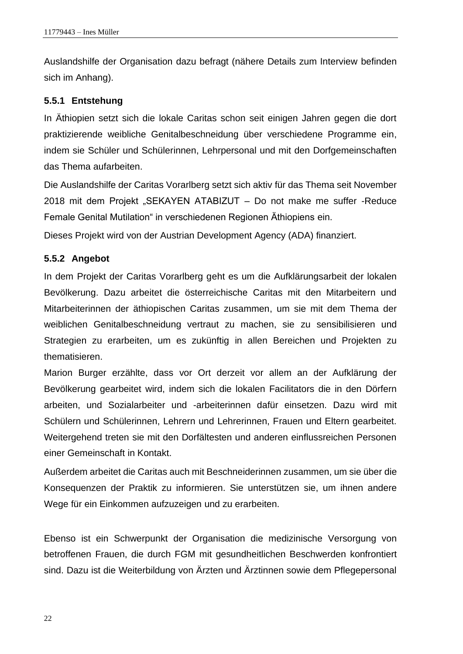Auslandshilfe der Organisation dazu befragt (nähere Details zum Interview befinden sich im Anhang).

#### <span id="page-27-0"></span>**5.5.1 Entstehung**

In Äthiopien setzt sich die lokale Caritas schon seit einigen Jahren gegen die dort praktizierende weibliche Genitalbeschneidung über verschiedene Programme ein, indem sie Schüler und Schülerinnen, Lehrpersonal und mit den Dorfgemeinschaften das Thema aufarbeiten.

Die Auslandshilfe der Caritas Vorarlberg setzt sich aktiv für das Thema seit November 2018 mit dem Projekt "SEKAYEN ATABIZUT – Do not make me suffer -Reduce Female Genital Mutilation" in verschiedenen Regionen Äthiopiens ein.

Dieses Projekt wird von der Austrian Development Agency (ADA) finanziert.

#### <span id="page-27-1"></span>**5.5.2 Angebot**

In dem Projekt der Caritas Vorarlberg geht es um die Aufklärungsarbeit der lokalen Bevölkerung. Dazu arbeitet die österreichische Caritas mit den Mitarbeitern und Mitarbeiterinnen der äthiopischen Caritas zusammen, um sie mit dem Thema der weiblichen Genitalbeschneidung vertraut zu machen, sie zu sensibilisieren und Strategien zu erarbeiten, um es zukünftig in allen Bereichen und Projekten zu thematisieren.

Marion Burger erzählte, dass vor Ort derzeit vor allem an der Aufklärung der Bevölkerung gearbeitet wird, indem sich die lokalen Facilitators die in den Dörfern arbeiten, und Sozialarbeiter und -arbeiterinnen dafür einsetzen. Dazu wird mit Schülern und Schülerinnen, Lehrern und Lehrerinnen, Frauen und Eltern gearbeitet. Weitergehend treten sie mit den Dorfältesten und anderen einflussreichen Personen einer Gemeinschaft in Kontakt.

Außerdem arbeitet die Caritas auch mit Beschneiderinnen zusammen, um sie über die Konsequenzen der Praktik zu informieren. Sie unterstützen sie, um ihnen andere Wege für ein Einkommen aufzuzeigen und zu erarbeiten.

Ebenso ist ein Schwerpunkt der Organisation die medizinische Versorgung von betroffenen Frauen, die durch FGM mit gesundheitlichen Beschwerden konfrontiert sind. Dazu ist die Weiterbildung von Ärzten und Ärztinnen sowie dem Pflegepersonal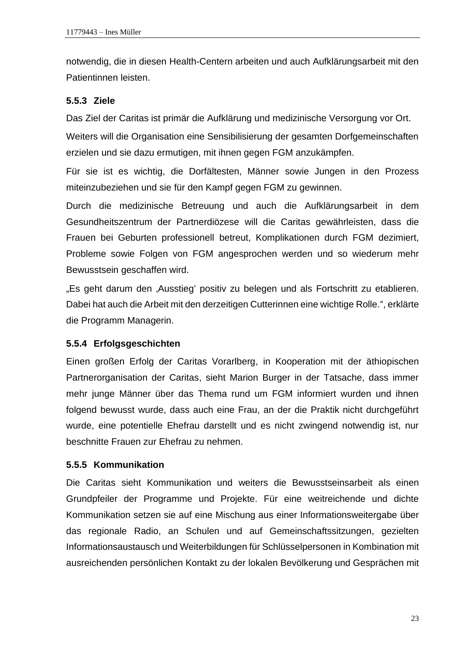notwendig, die in diesen Health-Centern arbeiten und auch Aufklärungsarbeit mit den Patientinnen leisten.

#### <span id="page-28-0"></span>**5.5.3 Ziele**

Das Ziel der Caritas ist primär die Aufklärung und medizinische Versorgung vor Ort.

Weiters will die Organisation eine Sensibilisierung der gesamten Dorfgemeinschaften erzielen und sie dazu ermutigen, mit ihnen gegen FGM anzukämpfen.

Für sie ist es wichtig, die Dorfältesten, Männer sowie Jungen in den Prozess miteinzubeziehen und sie für den Kampf gegen FGM zu gewinnen.

Durch die medizinische Betreuung und auch die Aufklärungsarbeit in dem Gesundheitszentrum der Partnerdiözese will die Caritas gewährleisten, dass die Frauen bei Geburten professionell betreut, Komplikationen durch FGM dezimiert, Probleme sowie Folgen von FGM angesprochen werden und so wiederum mehr Bewusstsein geschaffen wird.

"Es geht darum den "Ausstieg' positiv zu belegen und als Fortschritt zu etablieren. Dabei hat auch die Arbeit mit den derzeitigen Cutterinnen eine wichtige Rolle.", erklärte die Programm Managerin.

#### <span id="page-28-1"></span>**5.5.4 Erfolgsgeschichten**

Einen großen Erfolg der Caritas Vorarlberg, in Kooperation mit der äthiopischen Partnerorganisation der Caritas, sieht Marion Burger in der Tatsache, dass immer mehr junge Männer über das Thema rund um FGM informiert wurden und ihnen folgend bewusst wurde, dass auch eine Frau, an der die Praktik nicht durchgeführt wurde, eine potentielle Ehefrau darstellt und es nicht zwingend notwendig ist, nur beschnitte Frauen zur Ehefrau zu nehmen.

#### <span id="page-28-2"></span>**5.5.5 Kommunikation**

Die Caritas sieht Kommunikation und weiters die Bewusstseinsarbeit als einen Grundpfeiler der Programme und Projekte. Für eine weitreichende und dichte Kommunikation setzen sie auf eine Mischung aus einer Informationsweitergabe über das regionale Radio, an Schulen und auf Gemeinschaftssitzungen, gezielten Informationsaustausch und Weiterbildungen für Schlüsselpersonen in Kombination mit ausreichenden persönlichen Kontakt zu der lokalen Bevölkerung und Gesprächen mit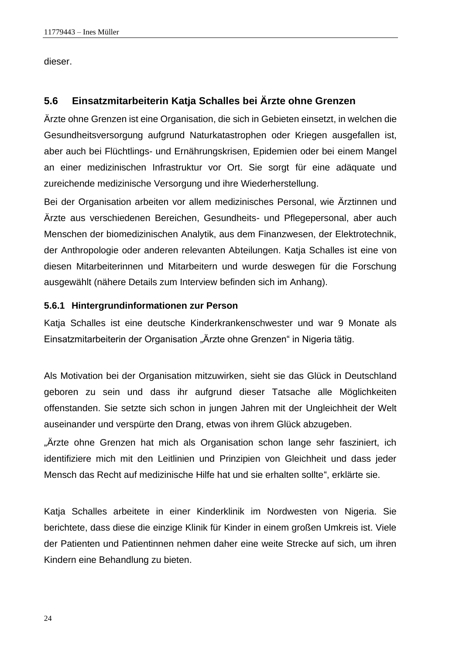dieser.

## <span id="page-29-0"></span>**5.6 Einsatzmitarbeiterin Katja Schalles bei Ärzte ohne Grenzen**

Ärzte ohne Grenzen ist eine Organisation, die sich in Gebieten einsetzt, in welchen die Gesundheitsversorgung aufgrund Naturkatastrophen oder Kriegen ausgefallen ist, aber auch bei Flüchtlings- und Ernährungskrisen, Epidemien oder bei einem Mangel an einer medizinischen Infrastruktur vor Ort. Sie sorgt für eine adäquate und zureichende medizinische Versorgung und ihre Wiederherstellung.

Bei der Organisation arbeiten vor allem medizinisches Personal, wie Ärztinnen und Ärzte aus verschiedenen Bereichen, Gesundheits- und Pflegepersonal, aber auch Menschen der biomedizinischen Analytik, aus dem Finanzwesen, der Elektrotechnik, der Anthropologie oder anderen relevanten Abteilungen. Katja Schalles ist eine von diesen Mitarbeiterinnen und Mitarbeitern und wurde deswegen für die Forschung ausgewählt (nähere Details zum Interview befinden sich im Anhang).

#### <span id="page-29-1"></span>**5.6.1 Hintergrundinformationen zur Person**

Katja Schalles ist eine deutsche Kinderkrankenschwester und war 9 Monate als Einsatzmitarbeiterin der Organisation "Ärzte ohne Grenzen" in Nigeria tätig.

Als Motivation bei der Organisation mitzuwirken, sieht sie das Glück in Deutschland geboren zu sein und dass ihr aufgrund dieser Tatsache alle Möglichkeiten offenstanden. Sie setzte sich schon in jungen Jahren mit der Ungleichheit der Welt auseinander und verspürte den Drang, etwas von ihrem Glück abzugeben.

"Ärzte ohne Grenzen hat mich als Organisation schon lange sehr fasziniert, ich identifiziere mich mit den Leitlinien und Prinzipien von Gleichheit und dass jeder Mensch das Recht auf medizinische Hilfe hat und sie erhalten sollte", erklärte sie.

Katja Schalles arbeitete in einer Kinderklinik im Nordwesten von Nigeria. Sie berichtete, dass diese die einzige Klinik für Kinder in einem großen Umkreis ist. Viele der Patienten und Patientinnen nehmen daher eine weite Strecke auf sich, um ihren Kindern eine Behandlung zu bieten.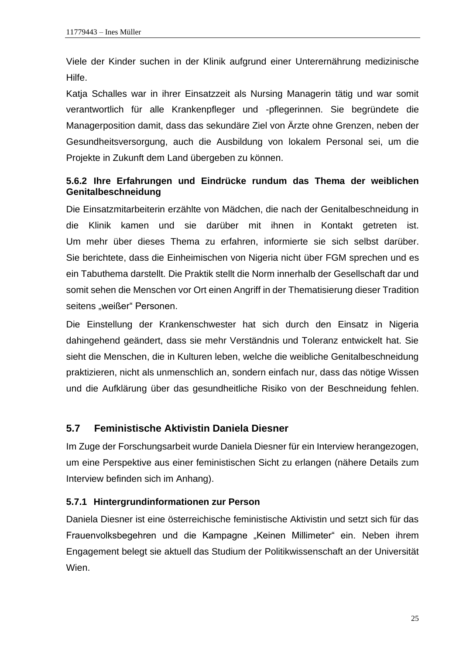Viele der Kinder suchen in der Klinik aufgrund einer Unterernährung medizinische Hilfe.

Katja Schalles war in ihrer Einsatzzeit als Nursing Managerin tätig und war somit verantwortlich für alle Krankenpfleger und -pflegerinnen. Sie begründete die Managerposition damit, dass das sekundäre Ziel von Ärzte ohne Grenzen, neben der Gesundheitsversorgung, auch die Ausbildung von lokalem Personal sei, um die Projekte in Zukunft dem Land übergeben zu können.

#### <span id="page-30-0"></span>**5.6.2 Ihre Erfahrungen und Eindrücke rundum das Thema der weiblichen Genitalbeschneidung**

Die Einsatzmitarbeiterin erzählte von Mädchen, die nach der Genitalbeschneidung in die Klinik kamen und sie darüber mit ihnen in Kontakt getreten ist. Um mehr über dieses Thema zu erfahren, informierte sie sich selbst darüber. Sie berichtete, dass die Einheimischen von Nigeria nicht über FGM sprechen und es ein Tabuthema darstellt. Die Praktik stellt die Norm innerhalb der Gesellschaft dar und somit sehen die Menschen vor Ort einen Angriff in der Thematisierung dieser Tradition seitens "weißer" Personen.

Die Einstellung der Krankenschwester hat sich durch den Einsatz in Nigeria dahingehend geändert, dass sie mehr Verständnis und Toleranz entwickelt hat. Sie sieht die Menschen, die in Kulturen leben, welche die weibliche Genitalbeschneidung praktizieren, nicht als unmenschlich an, sondern einfach nur, dass das nötige Wissen und die Aufklärung über das gesundheitliche Risiko von der Beschneidung fehlen.

#### <span id="page-30-1"></span>**5.7 Feministische Aktivistin Daniela Diesner**

Im Zuge der Forschungsarbeit wurde Daniela Diesner für ein Interview herangezogen, um eine Perspektive aus einer feministischen Sicht zu erlangen (nähere Details zum Interview befinden sich im Anhang).

#### <span id="page-30-2"></span>**5.7.1 Hintergrundinformationen zur Person**

Daniela Diesner ist eine österreichische feministische Aktivistin und setzt sich für das Frauenvolksbegehren und die Kampagne "Keinen Millimeter" ein. Neben ihrem Engagement belegt sie aktuell das Studium der Politikwissenschaft an der Universität Wien.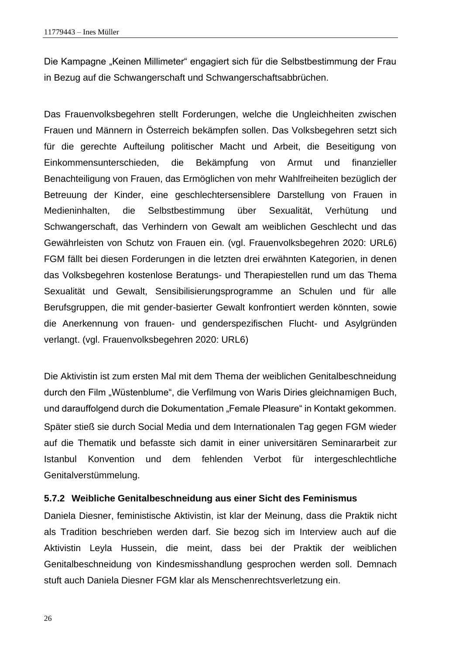Die Kampagne "Keinen Millimeter" engagiert sich für die Selbstbestimmung der Frau in Bezug auf die Schwangerschaft und Schwangerschaftsabbrüchen.

Das Frauenvolksbegehren stellt Forderungen, welche die Ungleichheiten zwischen Frauen und Männern in Österreich bekämpfen sollen. Das Volksbegehren setzt sich für die gerechte Aufteilung politischer Macht und Arbeit, die Beseitigung von Einkommensunterschieden, die Bekämpfung von Armut und finanzieller Benachteiligung von Frauen, das Ermöglichen von mehr Wahlfreiheiten bezüglich der Betreuung der Kinder, eine geschlechtersensiblere Darstellung von Frauen in Medieninhalten, die Selbstbestimmung über Sexualität, Verhütung und Schwangerschaft, das Verhindern von Gewalt am weiblichen Geschlecht und das Gewährleisten von Schutz von Frauen ein. (vgl. Frauenvolksbegehren 2020: URL6) FGM fällt bei diesen Forderungen in die letzten drei erwähnten Kategorien, in denen das Volksbegehren kostenlose Beratungs- und Therapiestellen rund um das Thema Sexualität und Gewalt, Sensibilisierungsprogramme an Schulen und für alle Berufsgruppen, die mit gender-basierter Gewalt konfrontiert werden könnten, sowie die Anerkennung von frauen- und genderspezifischen Flucht- und Asylgründen verlangt. (vgl. Frauenvolksbegehren 2020: URL6)

Die Aktivistin ist zum ersten Mal mit dem Thema der weiblichen Genitalbeschneidung durch den Film "Wüstenblume", die Verfilmung von Waris Diries gleichnamigen Buch, und darauffolgend durch die Dokumentation "Female Pleasure" in Kontakt gekommen. Später stieß sie durch Social Media und dem Internationalen Tag gegen FGM wieder auf die Thematik und befasste sich damit in einer universitären Seminararbeit zur Istanbul Konvention und dem fehlenden Verbot für intergeschlechtliche Genitalverstümmelung.

#### <span id="page-31-0"></span>**5.7.2 Weibliche Genitalbeschneidung aus einer Sicht des Feminismus**

Daniela Diesner, feministische Aktivistin, ist klar der Meinung, dass die Praktik nicht als Tradition beschrieben werden darf. Sie bezog sich im Interview auch auf die Aktivistin Leyla Hussein, die meint, dass bei der Praktik der weiblichen Genitalbeschneidung von Kindesmisshandlung gesprochen werden soll. Demnach stuft auch Daniela Diesner FGM klar als Menschenrechtsverletzung ein.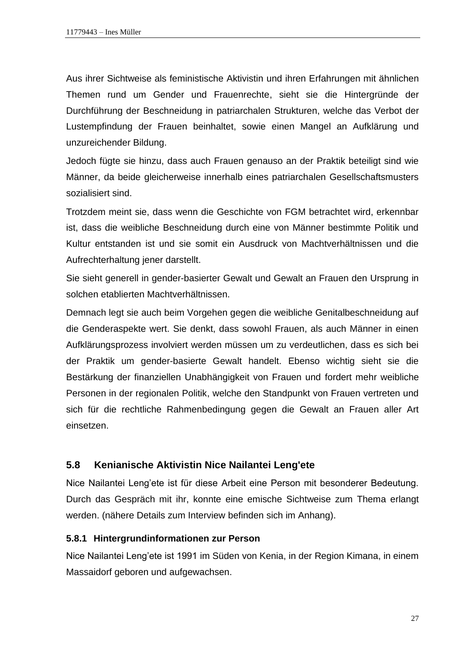Aus ihrer Sichtweise als feministische Aktivistin und ihren Erfahrungen mit ähnlichen Themen rund um Gender und Frauenrechte, sieht sie die Hintergründe der Durchführung der Beschneidung in patriarchalen Strukturen, welche das Verbot der Lustempfindung der Frauen beinhaltet, sowie einen Mangel an Aufklärung und unzureichender Bildung.

Jedoch fügte sie hinzu, dass auch Frauen genauso an der Praktik beteiligt sind wie Männer, da beide gleicherweise innerhalb eines patriarchalen Gesellschaftsmusters sozialisiert sind.

Trotzdem meint sie, dass wenn die Geschichte von FGM betrachtet wird, erkennbar ist, dass die weibliche Beschneidung durch eine von Männer bestimmte Politik und Kultur entstanden ist und sie somit ein Ausdruck von Machtverhältnissen und die Aufrechterhaltung jener darstellt.

Sie sieht generell in gender-basierter Gewalt und Gewalt an Frauen den Ursprung in solchen etablierten Machtverhältnissen.

Demnach legt sie auch beim Vorgehen gegen die weibliche Genitalbeschneidung auf die Genderaspekte wert. Sie denkt, dass sowohl Frauen, als auch Männer in einen Aufklärungsprozess involviert werden müssen um zu verdeutlichen, dass es sich bei der Praktik um gender-basierte Gewalt handelt. Ebenso wichtig sieht sie die Bestärkung der finanziellen Unabhängigkeit von Frauen und fordert mehr weibliche Personen in der regionalen Politik, welche den Standpunkt von Frauen vertreten und sich für die rechtliche Rahmenbedingung gegen die Gewalt an Frauen aller Art einsetzen.

#### <span id="page-32-0"></span>**5.8 Kenianische Aktivistin Nice Nailantei Leng'ete**

Nice Nailantei Leng'ete ist für diese Arbeit eine Person mit besonderer Bedeutung. Durch das Gespräch mit ihr, konnte eine emische Sichtweise zum Thema erlangt werden. (nähere Details zum Interview befinden sich im Anhang).

#### <span id="page-32-1"></span>**5.8.1 Hintergrundinformationen zur Person**

Nice Nailantei Leng'ete ist 1991 im Süden von Kenia, in der Region Kimana, in einem Massaidorf geboren und aufgewachsen.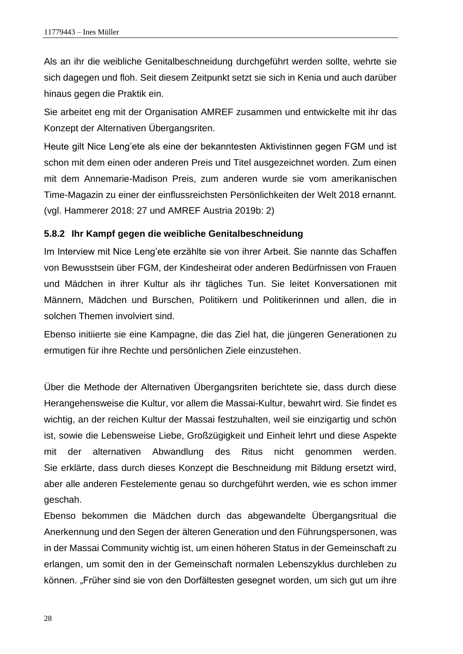Als an ihr die weibliche Genitalbeschneidung durchgeführt werden sollte, wehrte sie sich dagegen und floh. Seit diesem Zeitpunkt setzt sie sich in Kenia und auch darüber hinaus gegen die Praktik ein.

Sie arbeitet eng mit der Organisation AMREF zusammen und entwickelte mit ihr das Konzept der Alternativen Übergangsriten.

Heute gilt Nice Leng'ete als eine der bekanntesten Aktivistinnen gegen FGM und ist schon mit dem einen oder anderen Preis und Titel ausgezeichnet worden. Zum einen mit dem Annemarie-Madison Preis, zum anderen wurde sie vom amerikanischen Time-Magazin zu einer der einflussreichsten Persönlichkeiten der Welt 2018 ernannt. (vgl. Hammerer 2018: 27 und AMREF Austria 2019b: 2)

#### <span id="page-33-0"></span>**5.8.2 Ihr Kampf gegen die weibliche Genitalbeschneidung**

Im Interview mit Nice Leng'ete erzählte sie von ihrer Arbeit. Sie nannte das Schaffen von Bewusstsein über FGM, der Kindesheirat oder anderen Bedürfnissen von Frauen und Mädchen in ihrer Kultur als ihr tägliches Tun. Sie leitet Konversationen mit Männern, Mädchen und Burschen, Politikern und Politikerinnen und allen, die in solchen Themen involviert sind.

Ebenso initiierte sie eine Kampagne, die das Ziel hat, die jüngeren Generationen zu ermutigen für ihre Rechte und persönlichen Ziele einzustehen.

Über die Methode der Alternativen Übergangsriten berichtete sie, dass durch diese Herangehensweise die Kultur, vor allem die Massai-Kultur, bewahrt wird. Sie findet es wichtig, an der reichen Kultur der Massai festzuhalten, weil sie einzigartig und schön ist, sowie die Lebensweise Liebe, Großzügigkeit und Einheit lehrt und diese Aspekte mit der alternativen Abwandlung des Ritus nicht genommen werden. Sie erklärte, dass durch dieses Konzept die Beschneidung mit Bildung ersetzt wird, aber alle anderen Festelemente genau so durchgeführt werden, wie es schon immer geschah.

Ebenso bekommen die Mädchen durch das abgewandelte Übergangsritual die Anerkennung und den Segen der älteren Generation und den Führungspersonen, was in der Massai Community wichtig ist, um einen höheren Status in der Gemeinschaft zu erlangen, um somit den in der Gemeinschaft normalen Lebenszyklus durchleben zu können. "Früher sind sie von den Dorfältesten gesegnet worden, um sich gut um ihre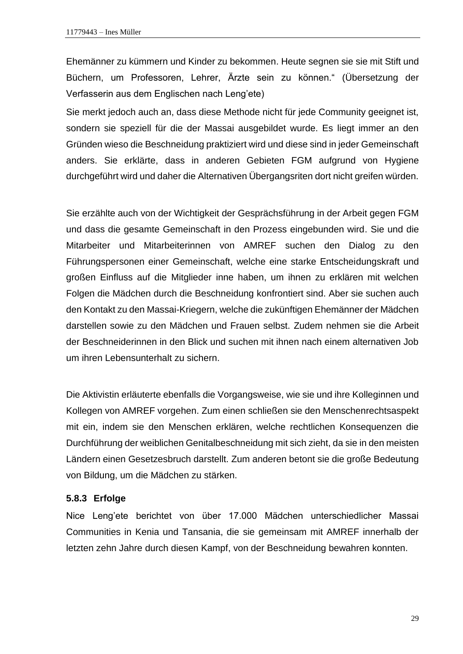Ehemänner zu kümmern und Kinder zu bekommen. Heute segnen sie sie mit Stift und Büchern, um Professoren, Lehrer, Ärzte sein zu können." (Übersetzung der Verfasserin aus dem Englischen nach Leng'ete)

Sie merkt jedoch auch an, dass diese Methode nicht für jede Community geeignet ist, sondern sie speziell für die der Massai ausgebildet wurde. Es liegt immer an den Gründen wieso die Beschneidung praktiziert wird und diese sind in jeder Gemeinschaft anders. Sie erklärte, dass in anderen Gebieten FGM aufgrund von Hygiene durchgeführt wird und daher die Alternativen Übergangsriten dort nicht greifen würden.

Sie erzählte auch von der Wichtigkeit der Gesprächsführung in der Arbeit gegen FGM und dass die gesamte Gemeinschaft in den Prozess eingebunden wird. Sie und die Mitarbeiter und Mitarbeiterinnen von AMREF suchen den Dialog zu den Führungspersonen einer Gemeinschaft, welche eine starke Entscheidungskraft und großen Einfluss auf die Mitglieder inne haben, um ihnen zu erklären mit welchen Folgen die Mädchen durch die Beschneidung konfrontiert sind. Aber sie suchen auch den Kontakt zu den Massai-Kriegern, welche die zukünftigen Ehemänner der Mädchen darstellen sowie zu den Mädchen und Frauen selbst. Zudem nehmen sie die Arbeit der Beschneiderinnen in den Blick und suchen mit ihnen nach einem alternativen Job um ihren Lebensunterhalt zu sichern.

Die Aktivistin erläuterte ebenfalls die Vorgangsweise, wie sie und ihre Kolleginnen und Kollegen von AMREF vorgehen. Zum einen schließen sie den Menschenrechtsaspekt mit ein, indem sie den Menschen erklären, welche rechtlichen Konsequenzen die Durchführung der weiblichen Genitalbeschneidung mit sich zieht, da sie in den meisten Ländern einen Gesetzesbruch darstellt. Zum anderen betont sie die große Bedeutung von Bildung, um die Mädchen zu stärken.

#### <span id="page-34-0"></span>**5.8.3 Erfolge**

Nice Leng'ete berichtet von über 17.000 Mädchen unterschiedlicher Massai Communities in Kenia und Tansania, die sie gemeinsam mit AMREF innerhalb der letzten zehn Jahre durch diesen Kampf, von der Beschneidung bewahren konnten.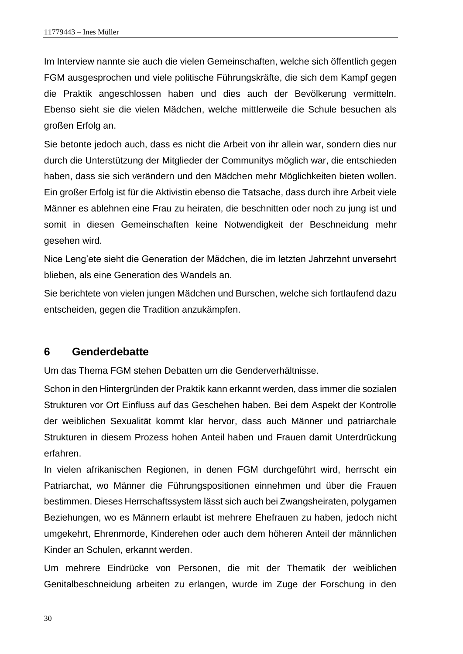Im Interview nannte sie auch die vielen Gemeinschaften, welche sich öffentlich gegen FGM ausgesprochen und viele politische Führungskräfte, die sich dem Kampf gegen die Praktik angeschlossen haben und dies auch der Bevölkerung vermitteln. Ebenso sieht sie die vielen Mädchen, welche mittlerweile die Schule besuchen als großen Erfolg an.

Sie betonte jedoch auch, dass es nicht die Arbeit von ihr allein war, sondern dies nur durch die Unterstützung der Mitglieder der Communitys möglich war, die entschieden haben, dass sie sich verändern und den Mädchen mehr Möglichkeiten bieten wollen. Ein großer Erfolg ist für die Aktivistin ebenso die Tatsache, dass durch ihre Arbeit viele Männer es ablehnen eine Frau zu heiraten, die beschnitten oder noch zu jung ist und somit in diesen Gemeinschaften keine Notwendigkeit der Beschneidung mehr gesehen wird.

Nice Leng'ete sieht die Generation der Mädchen, die im letzten Jahrzehnt unversehrt blieben, als eine Generation des Wandels an.

Sie berichtete von vielen jungen Mädchen und Burschen, welche sich fortlaufend dazu entscheiden, gegen die Tradition anzukämpfen.

#### <span id="page-35-0"></span>**6 Genderdebatte**

Um das Thema FGM stehen Debatten um die Genderverhältnisse.

Schon in den Hintergründen der Praktik kann erkannt werden, dass immer die sozialen Strukturen vor Ort Einfluss auf das Geschehen haben. Bei dem Aspekt der Kontrolle der weiblichen Sexualität kommt klar hervor, dass auch Männer und patriarchale Strukturen in diesem Prozess hohen Anteil haben und Frauen damit Unterdrückung erfahren.

In vielen afrikanischen Regionen, in denen FGM durchgeführt wird, herrscht ein Patriarchat, wo Männer die Führungspositionen einnehmen und über die Frauen bestimmen. Dieses Herrschaftssystem lässt sich auch bei Zwangsheiraten, polygamen Beziehungen, wo es Männern erlaubt ist mehrere Ehefrauen zu haben, jedoch nicht umgekehrt, Ehrenmorde, Kinderehen oder auch dem höheren Anteil der männlichen Kinder an Schulen, erkannt werden.

Um mehrere Eindrücke von Personen, die mit der Thematik der weiblichen Genitalbeschneidung arbeiten zu erlangen, wurde im Zuge der Forschung in den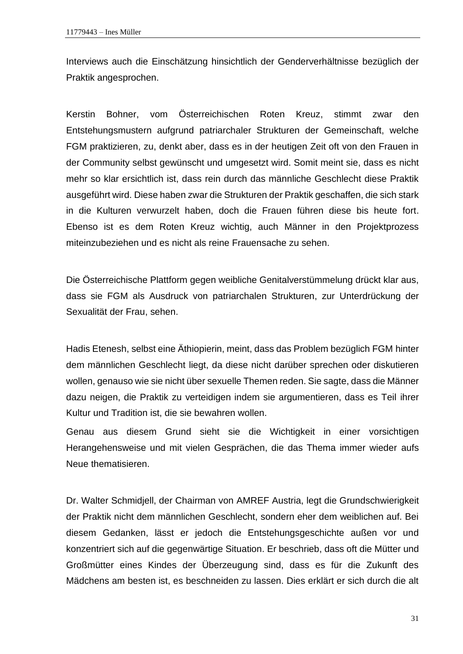Interviews auch die Einschätzung hinsichtlich der Genderverhältnisse bezüglich der Praktik angesprochen.

Kerstin Bohner, vom Österreichischen Roten Kreuz, stimmt zwar den Entstehungsmustern aufgrund patriarchaler Strukturen der Gemeinschaft, welche FGM praktizieren, zu, denkt aber, dass es in der heutigen Zeit oft von den Frauen in der Community selbst gewünscht und umgesetzt wird. Somit meint sie, dass es nicht mehr so klar ersichtlich ist, dass rein durch das männliche Geschlecht diese Praktik ausgeführt wird. Diese haben zwar die Strukturen der Praktik geschaffen, die sich stark in die Kulturen verwurzelt haben, doch die Frauen führen diese bis heute fort. Ebenso ist es dem Roten Kreuz wichtig, auch Männer in den Projektprozess miteinzubeziehen und es nicht als reine Frauensache zu sehen.

Die Österreichische Plattform gegen weibliche Genitalverstümmelung drückt klar aus, dass sie FGM als Ausdruck von patriarchalen Strukturen, zur Unterdrückung der Sexualität der Frau, sehen.

Hadis Etenesh, selbst eine Äthiopierin, meint, dass das Problem bezüglich FGM hinter dem männlichen Geschlecht liegt, da diese nicht darüber sprechen oder diskutieren wollen, genauso wie sie nicht über sexuelle Themen reden. Sie sagte, dass die Männer dazu neigen, die Praktik zu verteidigen indem sie argumentieren, dass es Teil ihrer Kultur und Tradition ist, die sie bewahren wollen.

Genau aus diesem Grund sieht sie die Wichtigkeit in einer vorsichtigen Herangehensweise und mit vielen Gesprächen, die das Thema immer wieder aufs Neue thematisieren.

Dr. Walter Schmidjell, der Chairman von AMREF Austria, legt die Grundschwierigkeit der Praktik nicht dem männlichen Geschlecht, sondern eher dem weiblichen auf. Bei diesem Gedanken, lässt er jedoch die Entstehungsgeschichte außen vor und konzentriert sich auf die gegenwärtige Situation. Er beschrieb, dass oft die Mütter und Großmütter eines Kindes der Überzeugung sind, dass es für die Zukunft des Mädchens am besten ist, es beschneiden zu lassen. Dies erklärt er sich durch die alt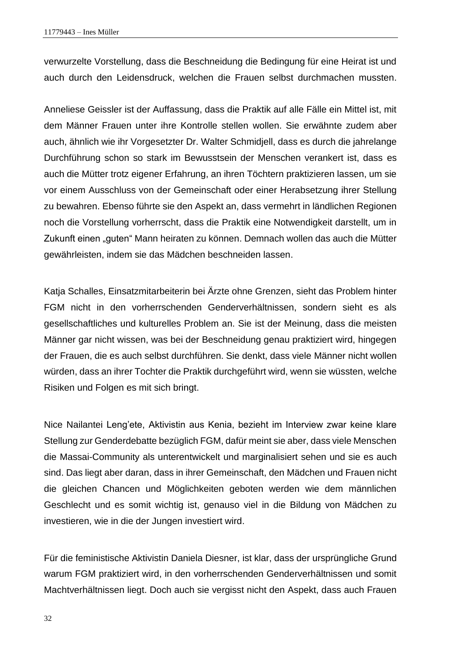verwurzelte Vorstellung, dass die Beschneidung die Bedingung für eine Heirat ist und auch durch den Leidensdruck, welchen die Frauen selbst durchmachen mussten.

Anneliese Geissler ist der Auffassung, dass die Praktik auf alle Fälle ein Mittel ist, mit dem Männer Frauen unter ihre Kontrolle stellen wollen. Sie erwähnte zudem aber auch, ähnlich wie ihr Vorgesetzter Dr. Walter Schmidjell, dass es durch die jahrelange Durchführung schon so stark im Bewusstsein der Menschen verankert ist, dass es auch die Mütter trotz eigener Erfahrung, an ihren Töchtern praktizieren lassen, um sie vor einem Ausschluss von der Gemeinschaft oder einer Herabsetzung ihrer Stellung zu bewahren. Ebenso führte sie den Aspekt an, dass vermehrt in ländlichen Regionen noch die Vorstellung vorherrscht, dass die Praktik eine Notwendigkeit darstellt, um in Zukunft einen "guten" Mann heiraten zu können. Demnach wollen das auch die Mütter gewährleisten, indem sie das Mädchen beschneiden lassen.

Katja Schalles, Einsatzmitarbeiterin bei Ärzte ohne Grenzen, sieht das Problem hinter FGM nicht in den vorherrschenden Genderverhältnissen, sondern sieht es als gesellschaftliches und kulturelles Problem an. Sie ist der Meinung, dass die meisten Männer gar nicht wissen, was bei der Beschneidung genau praktiziert wird, hingegen der Frauen, die es auch selbst durchführen. Sie denkt, dass viele Männer nicht wollen würden, dass an ihrer Tochter die Praktik durchgeführt wird, wenn sie wüssten, welche Risiken und Folgen es mit sich bringt.

Nice Nailantei Leng'ete, Aktivistin aus Kenia, bezieht im Interview zwar keine klare Stellung zur Genderdebatte bezüglich FGM, dafür meint sie aber, dass viele Menschen die Massai-Community als unterentwickelt und marginalisiert sehen und sie es auch sind. Das liegt aber daran, dass in ihrer Gemeinschaft, den Mädchen und Frauen nicht die gleichen Chancen und Möglichkeiten geboten werden wie dem männlichen Geschlecht und es somit wichtig ist, genauso viel in die Bildung von Mädchen zu investieren, wie in die der Jungen investiert wird.

Für die feministische Aktivistin Daniela Diesner, ist klar, dass der ursprüngliche Grund warum FGM praktiziert wird, in den vorherrschenden Genderverhältnissen und somit Machtverhältnissen liegt. Doch auch sie vergisst nicht den Aspekt, dass auch Frauen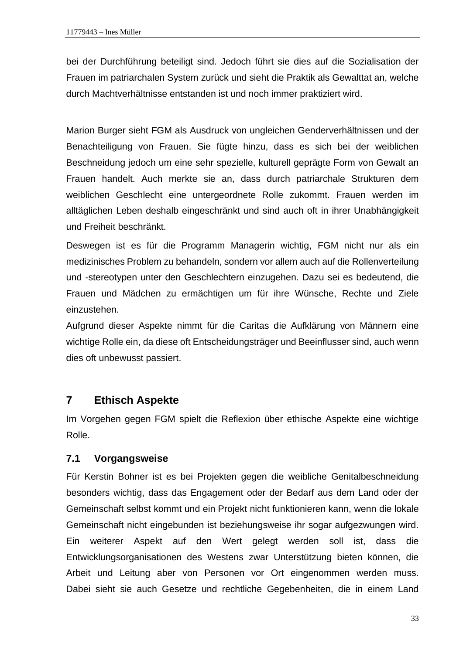bei der Durchführung beteiligt sind. Jedoch führt sie dies auf die Sozialisation der Frauen im patriarchalen System zurück und sieht die Praktik als Gewalttat an, welche durch Machtverhältnisse entstanden ist und noch immer praktiziert wird.

Marion Burger sieht FGM als Ausdruck von ungleichen Genderverhältnissen und der Benachteiligung von Frauen. Sie fügte hinzu, dass es sich bei der weiblichen Beschneidung jedoch um eine sehr spezielle, kulturell geprägte Form von Gewalt an Frauen handelt. Auch merkte sie an, dass durch patriarchale Strukturen dem weiblichen Geschlecht eine untergeordnete Rolle zukommt. Frauen werden im alltäglichen Leben deshalb eingeschränkt und sind auch oft in ihrer Unabhängigkeit und Freiheit beschränkt.

Deswegen ist es für die Programm Managerin wichtig, FGM nicht nur als ein medizinisches Problem zu behandeln, sondern vor allem auch auf die Rollenverteilung und -stereotypen unter den Geschlechtern einzugehen. Dazu sei es bedeutend, die Frauen und Mädchen zu ermächtigen um für ihre Wünsche, Rechte und Ziele einzustehen.

Aufgrund dieser Aspekte nimmt für die Caritas die Aufklärung von Männern eine wichtige Rolle ein, da diese oft Entscheidungsträger und Beeinflusser sind, auch wenn dies oft unbewusst passiert.

## <span id="page-38-0"></span>**7 Ethisch Aspekte**

Im Vorgehen gegen FGM spielt die Reflexion über ethische Aspekte eine wichtige Rolle.

## <span id="page-38-1"></span>**7.1 Vorgangsweise**

Für Kerstin Bohner ist es bei Projekten gegen die weibliche Genitalbeschneidung besonders wichtig, dass das Engagement oder der Bedarf aus dem Land oder der Gemeinschaft selbst kommt und ein Projekt nicht funktionieren kann, wenn die lokale Gemeinschaft nicht eingebunden ist beziehungsweise ihr sogar aufgezwungen wird. Ein weiterer Aspekt auf den Wert gelegt werden soll ist, dass die Entwicklungsorganisationen des Westens zwar Unterstützung bieten können, die Arbeit und Leitung aber von Personen vor Ort eingenommen werden muss. Dabei sieht sie auch Gesetze und rechtliche Gegebenheiten, die in einem Land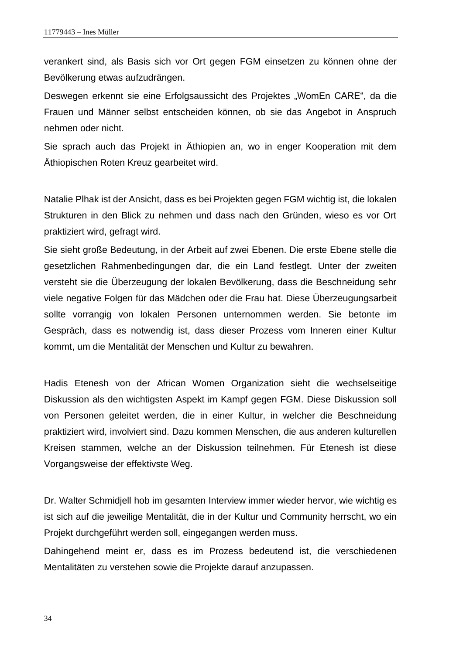verankert sind, als Basis sich vor Ort gegen FGM einsetzen zu können ohne der Bevölkerung etwas aufzudrängen.

Deswegen erkennt sie eine Erfolgsaussicht des Projektes "WomEn CARE", da die Frauen und Männer selbst entscheiden können, ob sie das Angebot in Anspruch nehmen oder nicht.

Sie sprach auch das Projekt in Äthiopien an, wo in enger Kooperation mit dem Äthiopischen Roten Kreuz gearbeitet wird.

Natalie Plhak ist der Ansicht, dass es bei Projekten gegen FGM wichtig ist, die lokalen Strukturen in den Blick zu nehmen und dass nach den Gründen, wieso es vor Ort praktiziert wird, gefragt wird.

Sie sieht große Bedeutung, in der Arbeit auf zwei Ebenen. Die erste Ebene stelle die gesetzlichen Rahmenbedingungen dar, die ein Land festlegt. Unter der zweiten versteht sie die Überzeugung der lokalen Bevölkerung, dass die Beschneidung sehr viele negative Folgen für das Mädchen oder die Frau hat. Diese Überzeugungsarbeit sollte vorrangig von lokalen Personen unternommen werden. Sie betonte im Gespräch, dass es notwendig ist, dass dieser Prozess vom Inneren einer Kultur kommt, um die Mentalität der Menschen und Kultur zu bewahren.

Hadis Etenesh von der African Women Organization sieht die wechselseitige Diskussion als den wichtigsten Aspekt im Kampf gegen FGM. Diese Diskussion soll von Personen geleitet werden, die in einer Kultur, in welcher die Beschneidung praktiziert wird, involviert sind. Dazu kommen Menschen, die aus anderen kulturellen Kreisen stammen, welche an der Diskussion teilnehmen. Für Etenesh ist diese Vorgangsweise der effektivste Weg.

Dr. Walter Schmidjell hob im gesamten Interview immer wieder hervor, wie wichtig es ist sich auf die jeweilige Mentalität, die in der Kultur und Community herrscht, wo ein Projekt durchgeführt werden soll, eingegangen werden muss.

Dahingehend meint er, dass es im Prozess bedeutend ist, die verschiedenen Mentalitäten zu verstehen sowie die Projekte darauf anzupassen.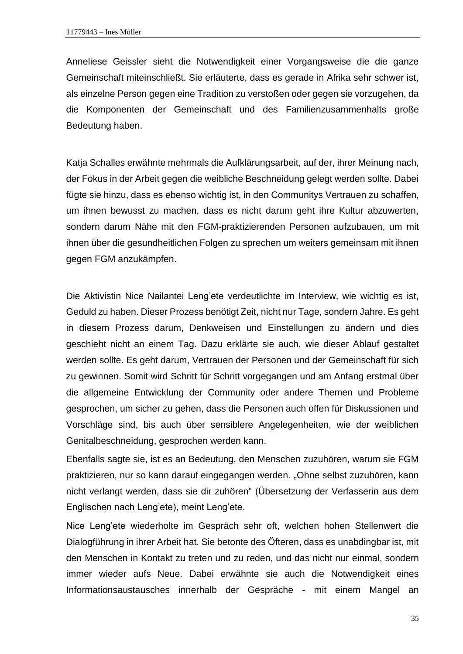Anneliese Geissler sieht die Notwendigkeit einer Vorgangsweise die die ganze Gemeinschaft miteinschließt. Sie erläuterte, dass es gerade in Afrika sehr schwer ist, als einzelne Person gegen eine Tradition zu verstoßen oder gegen sie vorzugehen, da die Komponenten der Gemeinschaft und des Familienzusammenhalts große Bedeutung haben.

Katja Schalles erwähnte mehrmals die Aufklärungsarbeit, auf der, ihrer Meinung nach, der Fokus in der Arbeit gegen die weibliche Beschneidung gelegt werden sollte. Dabei fügte sie hinzu, dass es ebenso wichtig ist, in den Communitys Vertrauen zu schaffen, um ihnen bewusst zu machen, dass es nicht darum geht ihre Kultur abzuwerten, sondern darum Nähe mit den FGM-praktizierenden Personen aufzubauen, um mit ihnen über die gesundheitlichen Folgen zu sprechen um weiters gemeinsam mit ihnen gegen FGM anzukämpfen.

Die Aktivistin Nice Nailantei Leng'ete verdeutlichte im Interview, wie wichtig es ist, Geduld zu haben. Dieser Prozess benötigt Zeit, nicht nur Tage, sondern Jahre. Es geht in diesem Prozess darum, Denkweisen und Einstellungen zu ändern und dies geschieht nicht an einem Tag. Dazu erklärte sie auch, wie dieser Ablauf gestaltet werden sollte. Es geht darum, Vertrauen der Personen und der Gemeinschaft für sich zu gewinnen. Somit wird Schritt für Schritt vorgegangen und am Anfang erstmal über die allgemeine Entwicklung der Community oder andere Themen und Probleme gesprochen, um sicher zu gehen, dass die Personen auch offen für Diskussionen und Vorschläge sind, bis auch über sensiblere Angelegenheiten, wie der weiblichen Genitalbeschneidung, gesprochen werden kann.

Ebenfalls sagte sie, ist es an Bedeutung, den Menschen zuzuhören, warum sie FGM praktizieren, nur so kann darauf eingegangen werden. "Ohne selbst zuzuhören, kann nicht verlangt werden, dass sie dir zuhören" (Übersetzung der Verfasserin aus dem Englischen nach Leng'ete), meint Leng'ete.

Nice Leng'ete wiederholte im Gespräch sehr oft, welchen hohen Stellenwert die Dialogführung in ihrer Arbeit hat. Sie betonte des Öfteren, dass es unabdingbar ist, mit den Menschen in Kontakt zu treten und zu reden, und das nicht nur einmal, sondern immer wieder aufs Neue. Dabei erwähnte sie auch die Notwendigkeit eines Informationsaustausches innerhalb der Gespräche - mit einem Mangel an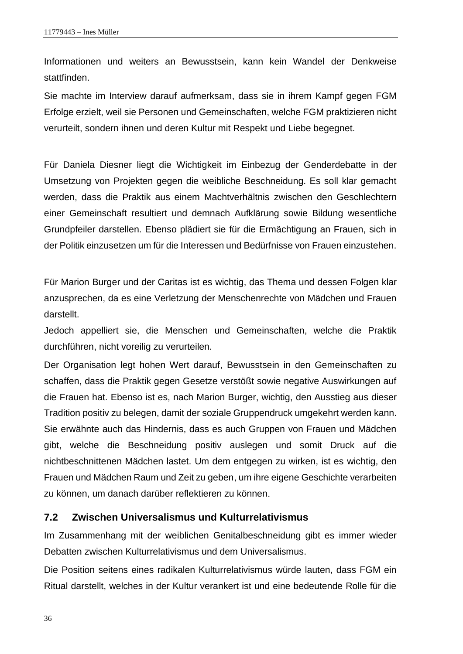Informationen und weiters an Bewusstsein, kann kein Wandel der Denkweise stattfinden.

Sie machte im Interview darauf aufmerksam, dass sie in ihrem Kampf gegen FGM Erfolge erzielt, weil sie Personen und Gemeinschaften, welche FGM praktizieren nicht verurteilt, sondern ihnen und deren Kultur mit Respekt und Liebe begegnet.

Für Daniela Diesner liegt die Wichtigkeit im Einbezug der Genderdebatte in der Umsetzung von Projekten gegen die weibliche Beschneidung. Es soll klar gemacht werden, dass die Praktik aus einem Machtverhältnis zwischen den Geschlechtern einer Gemeinschaft resultiert und demnach Aufklärung sowie Bildung wesentliche Grundpfeiler darstellen. Ebenso plädiert sie für die Ermächtigung an Frauen, sich in der Politik einzusetzen um für die Interessen und Bedürfnisse von Frauen einzustehen.

Für Marion Burger und der Caritas ist es wichtig, das Thema und dessen Folgen klar anzusprechen, da es eine Verletzung der Menschenrechte von Mädchen und Frauen darstellt.

Jedoch appelliert sie, die Menschen und Gemeinschaften, welche die Praktik durchführen, nicht voreilig zu verurteilen.

Der Organisation legt hohen Wert darauf, Bewusstsein in den Gemeinschaften zu schaffen, dass die Praktik gegen Gesetze verstößt sowie negative Auswirkungen auf die Frauen hat. Ebenso ist es, nach Marion Burger, wichtig, den Ausstieg aus dieser Tradition positiv zu belegen, damit der soziale Gruppendruck umgekehrt werden kann. Sie erwähnte auch das Hindernis, dass es auch Gruppen von Frauen und Mädchen gibt, welche die Beschneidung positiv auslegen und somit Druck auf die nichtbeschnittenen Mädchen lastet. Um dem entgegen zu wirken, ist es wichtig, den Frauen und Mädchen Raum und Zeit zu geben, um ihre eigene Geschichte verarbeiten zu können, um danach darüber reflektieren zu können.

#### <span id="page-41-0"></span>**7.2 Zwischen Universalismus und Kulturrelativismus**

Im Zusammenhang mit der weiblichen Genitalbeschneidung gibt es immer wieder Debatten zwischen Kulturrelativismus und dem Universalismus.

Die Position seitens eines radikalen Kulturrelativismus würde lauten, dass FGM ein Ritual darstellt, welches in der Kultur verankert ist und eine bedeutende Rolle für die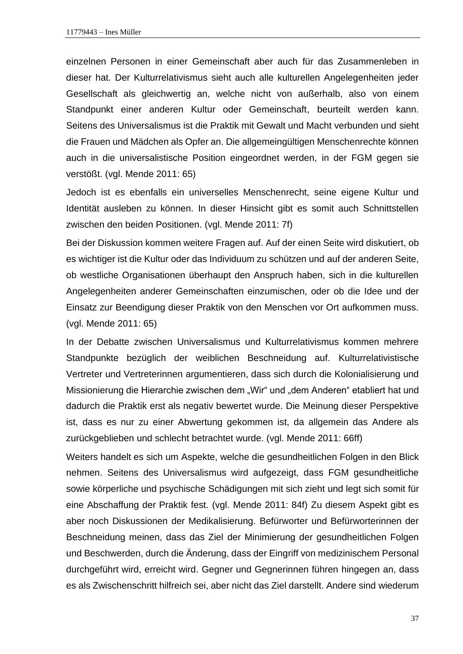einzelnen Personen in einer Gemeinschaft aber auch für das Zusammenleben in dieser hat. Der Kulturrelativismus sieht auch alle kulturellen Angelegenheiten jeder Gesellschaft als gleichwertig an, welche nicht von außerhalb, also von einem Standpunkt einer anderen Kultur oder Gemeinschaft, beurteilt werden kann. Seitens des Universalismus ist die Praktik mit Gewalt und Macht verbunden und sieht die Frauen und Mädchen als Opfer an. Die allgemeingültigen Menschenrechte können auch in die universalistische Position eingeordnet werden, in der FGM gegen sie verstößt. (vgl. Mende 2011: 65)

Jedoch ist es ebenfalls ein universelles Menschenrecht, seine eigene Kultur und Identität ausleben zu können. In dieser Hinsicht gibt es somit auch Schnittstellen zwischen den beiden Positionen. (vgl. Mende 2011: 7f)

Bei der Diskussion kommen weitere Fragen auf. Auf der einen Seite wird diskutiert, ob es wichtiger ist die Kultur oder das Individuum zu schützen und auf der anderen Seite, ob westliche Organisationen überhaupt den Anspruch haben, sich in die kulturellen Angelegenheiten anderer Gemeinschaften einzumischen, oder ob die Idee und der Einsatz zur Beendigung dieser Praktik von den Menschen vor Ort aufkommen muss. (vgl. Mende 2011: 65)

In der Debatte zwischen Universalismus und Kulturrelativismus kommen mehrere Standpunkte bezüglich der weiblichen Beschneidung auf. Kulturrelativistische Vertreter und Vertreterinnen argumentieren, dass sich durch die Kolonialisierung und Missionierung die Hierarchie zwischen dem "Wir" und "dem Anderen" etabliert hat und dadurch die Praktik erst als negativ bewertet wurde. Die Meinung dieser Perspektive ist, dass es nur zu einer Abwertung gekommen ist, da allgemein das Andere als zurückgeblieben und schlecht betrachtet wurde. (vgl. Mende 2011: 66ff)

Weiters handelt es sich um Aspekte, welche die gesundheitlichen Folgen in den Blick nehmen. Seitens des Universalismus wird aufgezeigt, dass FGM gesundheitliche sowie körperliche und psychische Schädigungen mit sich zieht und legt sich somit für eine Abschaffung der Praktik fest. (vgl. Mende 2011: 84f) Zu diesem Aspekt gibt es aber noch Diskussionen der Medikalisierung. Befürworter und Befürworterinnen der Beschneidung meinen, dass das Ziel der Minimierung der gesundheitlichen Folgen und Beschwerden, durch die Änderung, dass der Eingriff von medizinischem Personal durchgeführt wird, erreicht wird. Gegner und Gegnerinnen führen hingegen an, dass es als Zwischenschritt hilfreich sei, aber nicht das Ziel darstellt. Andere sind wiederum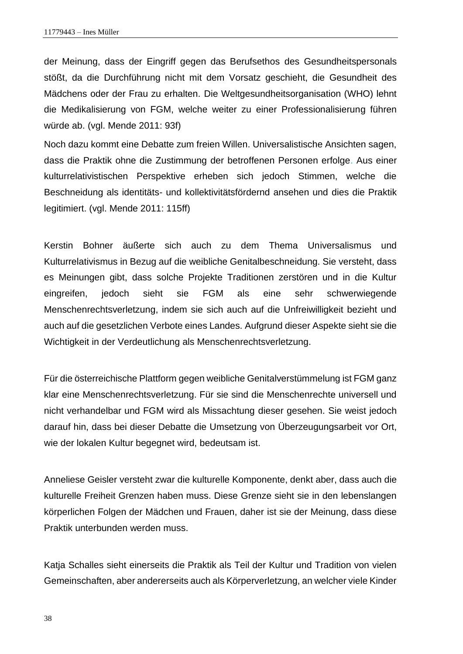der Meinung, dass der Eingriff gegen das Berufsethos des Gesundheitspersonals stößt, da die Durchführung nicht mit dem Vorsatz geschieht, die Gesundheit des Mädchens oder der Frau zu erhalten. Die Weltgesundheitsorganisation (WHO) lehnt die Medikalisierung von FGM, welche weiter zu einer Professionalisierung führen würde ab. (vgl. Mende 2011: 93f)

Noch dazu kommt eine Debatte zum freien Willen. Universalistische Ansichten sagen, dass die Praktik ohne die Zustimmung der betroffenen Personen erfolge. Aus einer kulturrelativistischen Perspektive erheben sich jedoch Stimmen, welche die Beschneidung als identitäts- und kollektivitätsfördernd ansehen und dies die Praktik legitimiert. (vgl. Mende 2011: 115ff)

Kerstin Bohner äußerte sich auch zu dem Thema Universalismus und Kulturrelativismus in Bezug auf die weibliche Genitalbeschneidung. Sie versteht, dass es Meinungen gibt, dass solche Projekte Traditionen zerstören und in die Kultur eingreifen, jedoch sieht sie FGM als eine sehr schwerwiegende Menschenrechtsverletzung, indem sie sich auch auf die Unfreiwilligkeit bezieht und auch auf die gesetzlichen Verbote eines Landes. Aufgrund dieser Aspekte sieht sie die Wichtigkeit in der Verdeutlichung als Menschenrechtsverletzung.

Für die österreichische Plattform gegen weibliche Genitalverstümmelung ist FGM ganz klar eine Menschenrechtsverletzung. Für sie sind die Menschenrechte universell und nicht verhandelbar und FGM wird als Missachtung dieser gesehen. Sie weist jedoch darauf hin, dass bei dieser Debatte die Umsetzung von Überzeugungsarbeit vor Ort, wie der lokalen Kultur begegnet wird, bedeutsam ist.

Anneliese Geisler versteht zwar die kulturelle Komponente, denkt aber, dass auch die kulturelle Freiheit Grenzen haben muss. Diese Grenze sieht sie in den lebenslangen körperlichen Folgen der Mädchen und Frauen, daher ist sie der Meinung, dass diese Praktik unterbunden werden muss.

Katja Schalles sieht einerseits die Praktik als Teil der Kultur und Tradition von vielen Gemeinschaften, aber andererseits auch als Körperverletzung, an welcher viele Kinder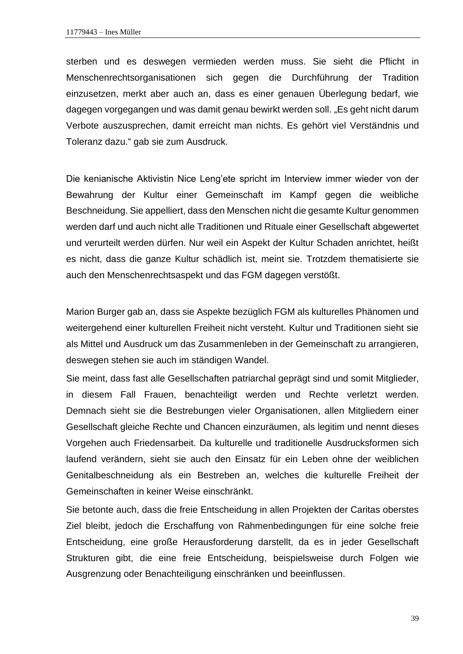sterben und es deswegen vermieden werden muss. Sie sieht die Pflicht in Menschenrechtsorganisationen sich gegen die Durchführung der Tradition einzusetzen, merkt aber auch an, dass es einer genauen Überlegung bedarf, wie dagegen vorgegangen und was damit genau bewirkt werden soll. "Es geht nicht darum Verbote auszusprechen, damit erreicht man nichts. Es gehört viel Verständnis und Toleranz dazu." gab sie zum Ausdruck.

Die kenianische Aktivistin Nice Leng'ete spricht im Interview immer wieder von der Bewahrung der Kultur einer Gemeinschaft im Kampf gegen die weibliche Beschneidung. Sie appelliert, dass den Menschen nicht die gesamte Kultur genommen werden darf und auch nicht alle Traditionen und Rituale einer Gesellschaft abgewertet und verurteilt werden dürfen. Nur weil ein Aspekt der Kultur Schaden anrichtet, heißt es nicht, dass die ganze Kultur schädlich ist, meint sie. Trotzdem thematisierte sie auch den Menschenrechtsaspekt und das FGM dagegen verstößt.

Marion Burger gab an, dass sie Aspekte bezüglich FGM als kulturelles Phänomen und weitergehend einer kulturellen Freiheit nicht versteht. Kultur und Traditionen sieht sie als Mittel und Ausdruck um das Zusammenleben in der Gemeinschaft zu arrangieren, deswegen stehen sie auch im ständigen Wandel.

Sie meint, dass fast alle Gesellschaften patriarchal geprägt sind und somit Mitglieder, in diesem Fall Frauen, benachteiligt werden und Rechte verletzt werden. Demnach sieht sie die Bestrebungen vieler Organisationen, allen Mitgliedern einer Gesellschaft gleiche Rechte und Chancen einzuräumen, als legitim und nennt dieses Vorgehen auch Friedensarbeit. Da kulturelle und traditionelle Ausdrucksformen sich laufend verändern, sieht sie auch den Einsatz für ein Leben ohne der weiblichen Genitalbeschneidung als ein Bestreben an, welches die kulturelle Freiheit der Gemeinschaften in keiner Weise einschränkt.

Sie betonte auch, dass die freie Entscheidung in allen Projekten der Caritas oberstes Ziel bleibt, jedoch die Erschaffung von Rahmenbedingungen für eine solche freie Entscheidung, eine große Herausforderung darstellt, da es in jeder Gesellschaft Strukturen gibt, die eine freie Entscheidung, beispielsweise durch Folgen wie Ausgrenzung oder Benachteiligung einschränken und beeinflussen.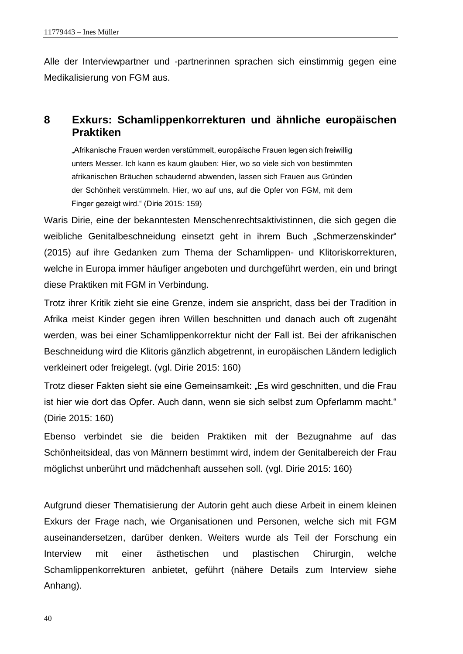Alle der Interviewpartner und -partnerinnen sprachen sich einstimmig gegen eine Medikalisierung von FGM aus.

## <span id="page-45-0"></span>**8 Exkurs: Schamlippenkorrekturen und ähnliche europäischen Praktiken**

"Afrikanische Frauen werden verstümmelt, europäische Frauen legen sich freiwillig unters Messer. Ich kann es kaum glauben: Hier, wo so viele sich von bestimmten afrikanischen Bräuchen schaudernd abwenden, lassen sich Frauen aus Gründen der Schönheit verstümmeln. Hier, wo auf uns, auf die Opfer von FGM, mit dem Finger gezeigt wird." (Dirie 2015: 159)

Waris Dirie, eine der bekanntesten Menschenrechtsaktivistinnen, die sich gegen die weibliche Genitalbeschneidung einsetzt geht in ihrem Buch "Schmerzenskinder" (2015) auf ihre Gedanken zum Thema der Schamlippen- und Klitoriskorrekturen, welche in Europa immer häufiger angeboten und durchgeführt werden, ein und bringt diese Praktiken mit FGM in Verbindung.

Trotz ihrer Kritik zieht sie eine Grenze, indem sie anspricht, dass bei der Tradition in Afrika meist Kinder gegen ihren Willen beschnitten und danach auch oft zugenäht werden, was bei einer Schamlippenkorrektur nicht der Fall ist. Bei der afrikanischen Beschneidung wird die Klitoris gänzlich abgetrennt, in europäischen Ländern lediglich verkleinert oder freigelegt. (vgl. Dirie 2015: 160)

Trotz dieser Fakten sieht sie eine Gemeinsamkeit: "Es wird geschnitten, und die Frau ist hier wie dort das Opfer. Auch dann, wenn sie sich selbst zum Opferlamm macht." (Dirie 2015: 160)

Ebenso verbindet sie die beiden Praktiken mit der Bezugnahme auf das Schönheitsideal, das von Männern bestimmt wird, indem der Genitalbereich der Frau möglichst unberührt und mädchenhaft aussehen soll. (vgl. Dirie 2015: 160)

Aufgrund dieser Thematisierung der Autorin geht auch diese Arbeit in einem kleinen Exkurs der Frage nach, wie Organisationen und Personen, welche sich mit FGM auseinandersetzen, darüber denken. Weiters wurde als Teil der Forschung ein Interview mit einer ästhetischen und plastischen Chirurgin, welche Schamlippenkorrekturen anbietet, geführt (nähere Details zum Interview siehe Anhang).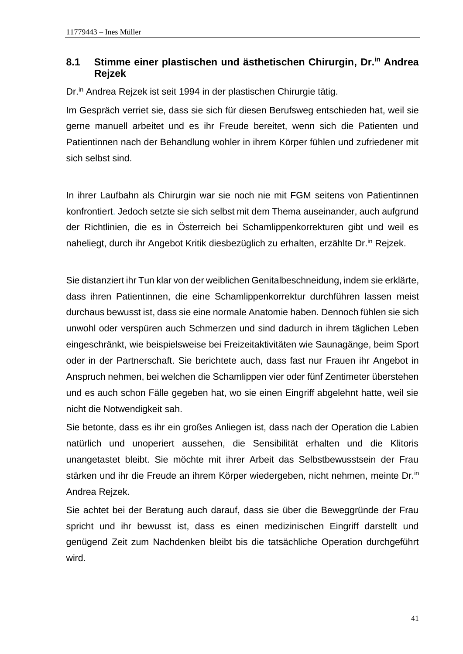## <span id="page-46-0"></span>**8.1 Stimme einer plastischen und ästhetischen Chirurgin, Dr.in Andrea Rejzek**

Dr.<sup>in</sup> Andrea Rejzek ist seit 1994 in der plastischen Chirurgie tätig.

Im Gespräch verriet sie, dass sie sich für diesen Berufsweg entschieden hat, weil sie gerne manuell arbeitet und es ihr Freude bereitet, wenn sich die Patienten und Patientinnen nach der Behandlung wohler in ihrem Körper fühlen und zufriedener mit sich selbst sind.

In ihrer Laufbahn als Chirurgin war sie noch nie mit FGM seitens von Patientinnen konfrontiert. Jedoch setzte sie sich selbst mit dem Thema auseinander, auch aufgrund der Richtlinien, die es in Österreich bei Schamlippenkorrekturen gibt und weil es naheliegt, durch ihr Angebot Kritik diesbezüglich zu erhalten, erzählte Dr.<sup>in</sup> Rejzek.

Sie distanziert ihr Tun klar von der weiblichen Genitalbeschneidung, indem sie erklärte, dass ihren Patientinnen, die eine Schamlippenkorrektur durchführen lassen meist durchaus bewusst ist, dass sie eine normale Anatomie haben. Dennoch fühlen sie sich unwohl oder verspüren auch Schmerzen und sind dadurch in ihrem täglichen Leben eingeschränkt, wie beispielsweise bei Freizeitaktivitäten wie Saunagänge, beim Sport oder in der Partnerschaft. Sie berichtete auch, dass fast nur Frauen ihr Angebot in Anspruch nehmen, bei welchen die Schamlippen vier oder fünf Zentimeter überstehen und es auch schon Fälle gegeben hat, wo sie einen Eingriff abgelehnt hatte, weil sie nicht die Notwendigkeit sah.

Sie betonte, dass es ihr ein großes Anliegen ist, dass nach der Operation die Labien natürlich und unoperiert aussehen, die Sensibilität erhalten und die Klitoris unangetastet bleibt. Sie möchte mit ihrer Arbeit das Selbstbewusstsein der Frau stärken und ihr die Freude an ihrem Körper wiedergeben, nicht nehmen, meinte Dr.<sup>in</sup> Andrea Rejzek.

Sie achtet bei der Beratung auch darauf, dass sie über die Beweggründe der Frau spricht und ihr bewusst ist, dass es einen medizinischen Eingriff darstellt und genügend Zeit zum Nachdenken bleibt bis die tatsächliche Operation durchgeführt wird.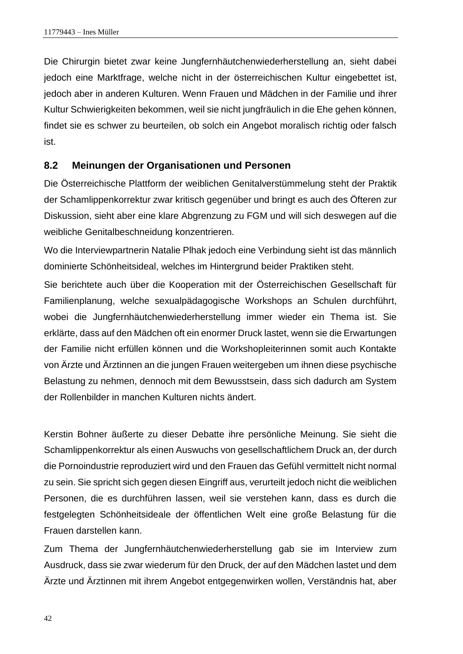Die Chirurgin bietet zwar keine Jungfernhäutchenwiederherstellung an, sieht dabei jedoch eine Marktfrage, welche nicht in der österreichischen Kultur eingebettet ist, jedoch aber in anderen Kulturen. Wenn Frauen und Mädchen in der Familie und ihrer Kultur Schwierigkeiten bekommen, weil sie nicht jungfräulich in die Ehe gehen können, findet sie es schwer zu beurteilen, ob solch ein Angebot moralisch richtig oder falsch ist.

#### <span id="page-47-0"></span>**8.2 Meinungen der Organisationen und Personen**

Die Österreichische Plattform der weiblichen Genitalverstümmelung steht der Praktik der Schamlippenkorrektur zwar kritisch gegenüber und bringt es auch des Öfteren zur Diskussion, sieht aber eine klare Abgrenzung zu FGM und will sich deswegen auf die weibliche Genitalbeschneidung konzentrieren.

Wo die Interviewpartnerin Natalie Plhak jedoch eine Verbindung sieht ist das männlich dominierte Schönheitsideal, welches im Hintergrund beider Praktiken steht.

Sie berichtete auch über die Kooperation mit der Österreichischen Gesellschaft für Familienplanung, welche sexualpädagogische Workshops an Schulen durchführt, wobei die Jungfernhäutchenwiederherstellung immer wieder ein Thema ist. Sie erklärte, dass auf den Mädchen oft ein enormer Druck lastet, wenn sie die Erwartungen der Familie nicht erfüllen können und die Workshopleiterinnen somit auch Kontakte von Ärzte und Ärztinnen an die jungen Frauen weitergeben um ihnen diese psychische Belastung zu nehmen, dennoch mit dem Bewusstsein, dass sich dadurch am System der Rollenbilder in manchen Kulturen nichts ändert.

Kerstin Bohner äußerte zu dieser Debatte ihre persönliche Meinung. Sie sieht die Schamlippenkorrektur als einen Auswuchs von gesellschaftlichem Druck an, der durch die Pornoindustrie reproduziert wird und den Frauen das Gefühl vermittelt nicht normal zu sein. Sie spricht sich gegen diesen Eingriff aus, verurteilt jedoch nicht die weiblichen Personen, die es durchführen lassen, weil sie verstehen kann, dass es durch die festgelegten Schönheitsideale der öffentlichen Welt eine große Belastung für die Frauen darstellen kann.

Zum Thema der Jungfernhäutchenwiederherstellung gab sie im Interview zum Ausdruck, dass sie zwar wiederum für den Druck, der auf den Mädchen lastet und dem Ärzte und Ärztinnen mit ihrem Angebot entgegenwirken wollen, Verständnis hat, aber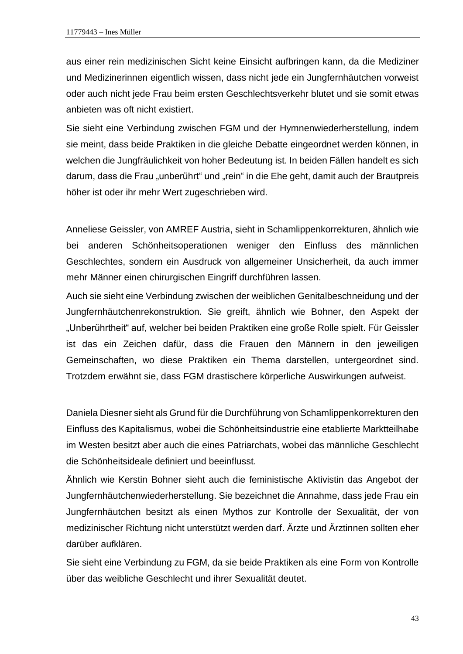aus einer rein medizinischen Sicht keine Einsicht aufbringen kann, da die Mediziner und Medizinerinnen eigentlich wissen, dass nicht jede ein Jungfernhäutchen vorweist oder auch nicht jede Frau beim ersten Geschlechtsverkehr blutet und sie somit etwas anbieten was oft nicht existiert.

Sie sieht eine Verbindung zwischen FGM und der Hymnenwiederherstellung, indem sie meint, dass beide Praktiken in die gleiche Debatte eingeordnet werden können, in welchen die Jungfräulichkeit von hoher Bedeutung ist. In beiden Fällen handelt es sich darum, dass die Frau "unberührt" und "rein" in die Ehe geht, damit auch der Brautpreis höher ist oder ihr mehr Wert zugeschrieben wird.

Anneliese Geissler, von AMREF Austria, sieht in Schamlippenkorrekturen, ähnlich wie bei anderen Schönheitsoperationen weniger den Einfluss des männlichen Geschlechtes, sondern ein Ausdruck von allgemeiner Unsicherheit, da auch immer mehr Männer einen chirurgischen Eingriff durchführen lassen.

Auch sie sieht eine Verbindung zwischen der weiblichen Genitalbeschneidung und der Jungfernhäutchenrekonstruktion. Sie greift, ähnlich wie Bohner, den Aspekt der "Unberührtheit" auf, welcher bei beiden Praktiken eine große Rolle spielt. Für Geissler ist das ein Zeichen dafür, dass die Frauen den Männern in den jeweiligen Gemeinschaften, wo diese Praktiken ein Thema darstellen, untergeordnet sind. Trotzdem erwähnt sie, dass FGM drastischere körperliche Auswirkungen aufweist.

Daniela Diesner sieht als Grund für die Durchführung von Schamlippenkorrekturen den Einfluss des Kapitalismus, wobei die Schönheitsindustrie eine etablierte Marktteilhabe im Westen besitzt aber auch die eines Patriarchats, wobei das männliche Geschlecht die Schönheitsideale definiert und beeinflusst.

Ähnlich wie Kerstin Bohner sieht auch die feministische Aktivistin das Angebot der Jungfernhäutchenwiederherstellung. Sie bezeichnet die Annahme, dass jede Frau ein Jungfernhäutchen besitzt als einen Mythos zur Kontrolle der Sexualität, der von medizinischer Richtung nicht unterstützt werden darf. Ärzte und Ärztinnen sollten eher darüber aufklären.

Sie sieht eine Verbindung zu FGM, da sie beide Praktiken als eine Form von Kontrolle über das weibliche Geschlecht und ihrer Sexualität deutet.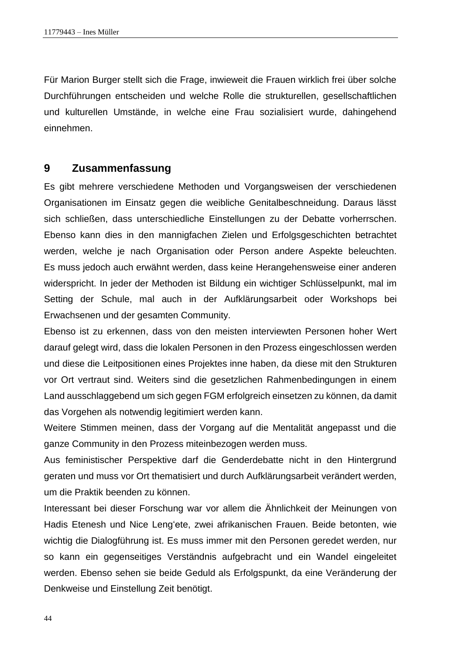Für Marion Burger stellt sich die Frage, inwieweit die Frauen wirklich frei über solche Durchführungen entscheiden und welche Rolle die strukturellen, gesellschaftlichen und kulturellen Umstände, in welche eine Frau sozialisiert wurde, dahingehend einnehmen.

#### <span id="page-49-0"></span>**9 Zusammenfassung**

Es gibt mehrere verschiedene Methoden und Vorgangsweisen der verschiedenen Organisationen im Einsatz gegen die weibliche Genitalbeschneidung. Daraus lässt sich schließen, dass unterschiedliche Einstellungen zu der Debatte vorherrschen. Ebenso kann dies in den mannigfachen Zielen und Erfolgsgeschichten betrachtet werden, welche je nach Organisation oder Person andere Aspekte beleuchten. Es muss jedoch auch erwähnt werden, dass keine Herangehensweise einer anderen widerspricht. In jeder der Methoden ist Bildung ein wichtiger Schlüsselpunkt, mal im Setting der Schule, mal auch in der Aufklärungsarbeit oder Workshops bei Erwachsenen und der gesamten Community.

Ebenso ist zu erkennen, dass von den meisten interviewten Personen hoher Wert darauf gelegt wird, dass die lokalen Personen in den Prozess eingeschlossen werden und diese die Leitpositionen eines Projektes inne haben, da diese mit den Strukturen vor Ort vertraut sind. Weiters sind die gesetzlichen Rahmenbedingungen in einem Land ausschlaggebend um sich gegen FGM erfolgreich einsetzen zu können, da damit das Vorgehen als notwendig legitimiert werden kann.

Weitere Stimmen meinen, dass der Vorgang auf die Mentalität angepasst und die ganze Community in den Prozess miteinbezogen werden muss.

Aus feministischer Perspektive darf die Genderdebatte nicht in den Hintergrund geraten und muss vor Ort thematisiert und durch Aufklärungsarbeit verändert werden, um die Praktik beenden zu können.

Interessant bei dieser Forschung war vor allem die Ähnlichkeit der Meinungen von Hadis Etenesh und Nice Leng'ete, zwei afrikanischen Frauen. Beide betonten, wie wichtig die Dialogführung ist. Es muss immer mit den Personen geredet werden, nur so kann ein gegenseitiges Verständnis aufgebracht und ein Wandel eingeleitet werden. Ebenso sehen sie beide Geduld als Erfolgspunkt, da eine Veränderung der Denkweise und Einstellung Zeit benötigt.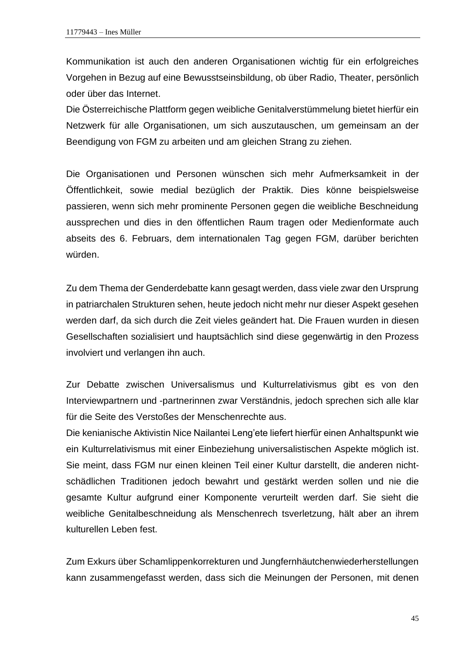Kommunikation ist auch den anderen Organisationen wichtig für ein erfolgreiches Vorgehen in Bezug auf eine Bewusstseinsbildung, ob über Radio, Theater, persönlich oder über das Internet.

Die Österreichische Plattform gegen weibliche Genitalverstümmelung bietet hierfür ein Netzwerk für alle Organisationen, um sich auszutauschen, um gemeinsam an der Beendigung von FGM zu arbeiten und am gleichen Strang zu ziehen.

Die Organisationen und Personen wünschen sich mehr Aufmerksamkeit in der Öffentlichkeit, sowie medial bezüglich der Praktik. Dies könne beispielsweise passieren, wenn sich mehr prominente Personen gegen die weibliche Beschneidung aussprechen und dies in den öffentlichen Raum tragen oder Medienformate auch abseits des 6. Februars, dem internationalen Tag gegen FGM, darüber berichten würden.

Zu dem Thema der Genderdebatte kann gesagt werden, dass viele zwar den Ursprung in patriarchalen Strukturen sehen, heute jedoch nicht mehr nur dieser Aspekt gesehen werden darf, da sich durch die Zeit vieles geändert hat. Die Frauen wurden in diesen Gesellschaften sozialisiert und hauptsächlich sind diese gegenwärtig in den Prozess involviert und verlangen ihn auch.

Zur Debatte zwischen Universalismus und Kulturrelativismus gibt es von den Interviewpartnern und -partnerinnen zwar Verständnis, jedoch sprechen sich alle klar für die Seite des Verstoßes der Menschenrechte aus.

Die kenianische Aktivistin Nice Nailantei Leng'ete liefert hierfür einen Anhaltspunkt wie ein Kulturrelativismus mit einer Einbeziehung universalistischen Aspekte möglich ist. Sie meint, dass FGM nur einen kleinen Teil einer Kultur darstellt, die anderen nichtschädlichen Traditionen jedoch bewahrt und gestärkt werden sollen und nie die gesamte Kultur aufgrund einer Komponente verurteilt werden darf. Sie sieht die weibliche Genitalbeschneidung als Menschenrech tsverletzung, hält aber an ihrem kulturellen Leben fest.

Zum Exkurs über Schamlippenkorrekturen und Jungfernhäutchenwiederherstellungen kann zusammengefasst werden, dass sich die Meinungen der Personen, mit denen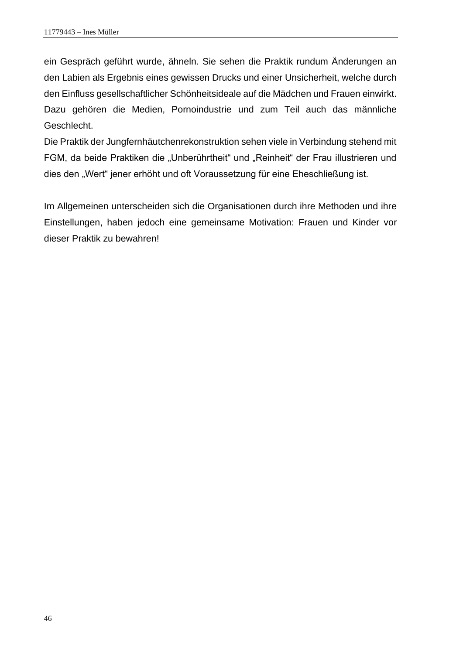ein Gespräch geführt wurde, ähneln. Sie sehen die Praktik rundum Änderungen an den Labien als Ergebnis eines gewissen Drucks und einer Unsicherheit, welche durch den Einfluss gesellschaftlicher Schönheitsideale auf die Mädchen und Frauen einwirkt. Dazu gehören die Medien, Pornoindustrie und zum Teil auch das männliche Geschlecht.

Die Praktik der Jungfernhäutchenrekonstruktion sehen viele in Verbindung stehend mit FGM, da beide Praktiken die "Unberührtheit" und "Reinheit" der Frau illustrieren und dies den "Wert" jener erhöht und oft Voraussetzung für eine Eheschließung ist.

Im Allgemeinen unterscheiden sich die Organisationen durch ihre Methoden und ihre Einstellungen, haben jedoch eine gemeinsame Motivation: Frauen und Kinder vor dieser Praktik zu bewahren!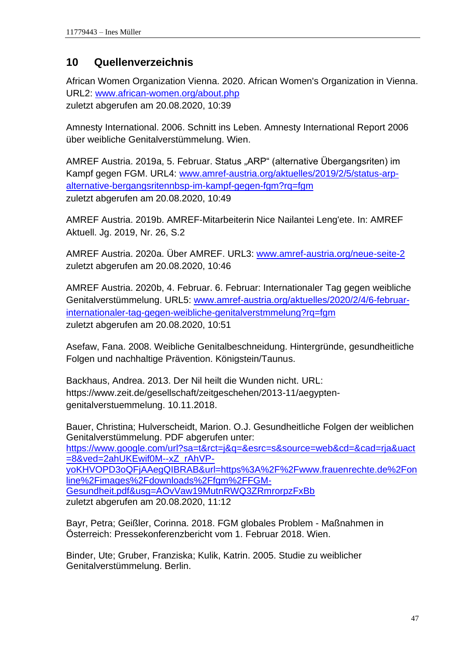## <span id="page-52-0"></span>**10 Quellenverzeichnis**

African Women Organization Vienna. 2020. African Women's Organization in Vienna. URL2: [www.african-women.org/about.php](http://www.african-women.org/about.php) zuletzt abgerufen am 20.08.2020, 10:39

Amnesty International. 2006. Schnitt ins Leben. Amnesty International Report 2006 über weibliche Genitalverstümmelung. Wien.

AMREF Austria. 2019a, 5. Februar. Status "ARP" (alternative Übergangsriten) im Kampf gegen FGM. URL4: [www.amref-austria.org/aktuelles/2019/2/5/status-arp](http://www.amref-austria.org/aktuelles/2019/2/5/status-arp-alternative-bergangsritennbsp-im-kampf-gegen-fgm?rq=fgm)[alternative-bergangsritennbsp-im-kampf-gegen-fgm?rq=fgm](http://www.amref-austria.org/aktuelles/2019/2/5/status-arp-alternative-bergangsritennbsp-im-kampf-gegen-fgm?rq=fgm) zuletzt abgerufen am 20.08.2020, 10:49

AMREF Austria. 2019b. AMREF-Mitarbeiterin Nice Nailantei Leng'ete. In: AMREF Aktuell. Jg. 2019, Nr. 26, S.2

AMREF Austria. 2020a. Über AMREF. URL3: [www.amref-austria.org/neue-seite-2](http://www.amref-austria.org/neue-seite-2) zuletzt abgerufen am 20.08.2020, 10:46

AMREF Austria. 2020b, 4. Februar. 6. Februar: Internationaler Tag gegen weibliche Genitalverstümmelung. URL5: [www.amref-austria.org/aktuelles/2020/2/4/6-februar](http://www.amref-austria.org/aktuelles/2020/2/4/6-februar-internationaler-tag-gegen-weibliche-genitalverstmmelung?rq=fgm)[internationaler-tag-gegen-weibliche-genitalverstmmelung?rq=fgm](http://www.amref-austria.org/aktuelles/2020/2/4/6-februar-internationaler-tag-gegen-weibliche-genitalverstmmelung?rq=fgm) zuletzt abgerufen am 20.08.2020, 10:51

Asefaw, Fana. 2008. Weibliche Genitalbeschneidung. Hintergründe, gesundheitliche Folgen und nachhaltige Prävention. Königstein/Taunus.

Backhaus, Andrea. 2013. Der Nil heilt die Wunden nicht. URL: [https://www.zeit.de/gesellschaft/zeitgeschehen/2013-11/aegypten](https://www.zeit.de/gesellschaft/zeitgeschehen/2013-11/aegypten-genitalverstuemmelung.%2010.11.2018)[genitalverstuemmelung. 10.11.2018.](https://www.zeit.de/gesellschaft/zeitgeschehen/2013-11/aegypten-genitalverstuemmelung.%2010.11.2018)

Bauer, Christina; Hulverscheidt, Marion. O.J. Gesundheitliche Folgen der weiblichen Genitalverstümmelung. PDF abgerufen unter: [https://www.google.com/url?sa=t&rct=j&q=&esrc=s&source=web&cd=&cad=rja&uact](https://www.google.com/url?sa=t&rct=j&q=&esrc=s&source=web&cd=&cad=rja&uact=8&ved=2ahUKEwif0M--xZ_rAhVP-yoKHVOPD3oQFjAAegQIBRAB&url=https%3A%2F%2Fwww.frauenrechte.de%2Fonline%2Fimages%2Fdownloads%2Ffgm%2FFGM-Gesundheit.pdf&usg=AOvVaw19MutnRWQ3ZRmrorpzFxBb) [=8&ved=2ahUKEwif0M--xZ\\_rAhVP](https://www.google.com/url?sa=t&rct=j&q=&esrc=s&source=web&cd=&cad=rja&uact=8&ved=2ahUKEwif0M--xZ_rAhVP-yoKHVOPD3oQFjAAegQIBRAB&url=https%3A%2F%2Fwww.frauenrechte.de%2Fonline%2Fimages%2Fdownloads%2Ffgm%2FFGM-Gesundheit.pdf&usg=AOvVaw19MutnRWQ3ZRmrorpzFxBb)[yoKHVOPD3oQFjAAegQIBRAB&url=https%3A%2F%2Fwww.frauenrechte.de%2Fon](https://www.google.com/url?sa=t&rct=j&q=&esrc=s&source=web&cd=&cad=rja&uact=8&ved=2ahUKEwif0M--xZ_rAhVP-yoKHVOPD3oQFjAAegQIBRAB&url=https%3A%2F%2Fwww.frauenrechte.de%2Fonline%2Fimages%2Fdownloads%2Ffgm%2FFGM-Gesundheit.pdf&usg=AOvVaw19MutnRWQ3ZRmrorpzFxBb) [line%2Fimages%2Fdownloads%2Ffgm%2FFGM-](https://www.google.com/url?sa=t&rct=j&q=&esrc=s&source=web&cd=&cad=rja&uact=8&ved=2ahUKEwif0M--xZ_rAhVP-yoKHVOPD3oQFjAAegQIBRAB&url=https%3A%2F%2Fwww.frauenrechte.de%2Fonline%2Fimages%2Fdownloads%2Ffgm%2FFGM-Gesundheit.pdf&usg=AOvVaw19MutnRWQ3ZRmrorpzFxBb)[Gesundheit.pdf&usg=AOvVaw19MutnRWQ3ZRmrorpzFxBb](https://www.google.com/url?sa=t&rct=j&q=&esrc=s&source=web&cd=&cad=rja&uact=8&ved=2ahUKEwif0M--xZ_rAhVP-yoKHVOPD3oQFjAAegQIBRAB&url=https%3A%2F%2Fwww.frauenrechte.de%2Fonline%2Fimages%2Fdownloads%2Ffgm%2FFGM-Gesundheit.pdf&usg=AOvVaw19MutnRWQ3ZRmrorpzFxBb) zuletzt abgerufen am 20.08.2020, 11:12

Bayr, Petra; Geißler, Corinna. 2018. FGM globales Problem - Maßnahmen in Österreich: Pressekonferenzbericht vom 1. Februar 2018. Wien.

Binder, Ute; Gruber, Franziska; Kulik, Katrin. 2005. Studie zu weiblicher Genitalverstümmelung. Berlin.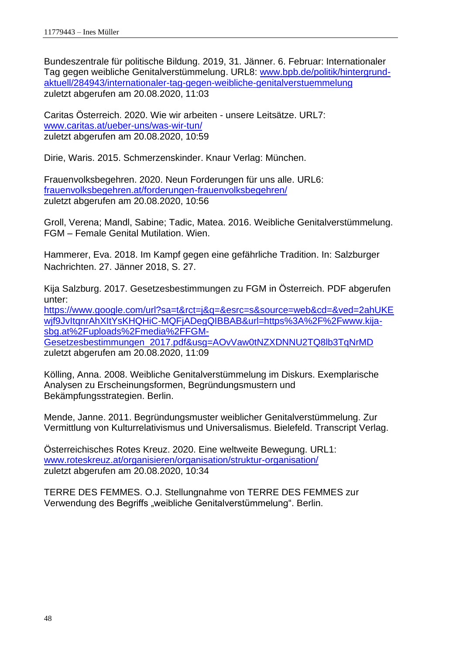Bundeszentrale für politische Bildung. 2019, 31. Jänner. 6. Februar: Internationaler Tag gegen weibliche Genitalverstümmelung. URL8: [www.bpb.de/politik/hintergrund](http://www.bpb.de/politik/hintergrund-aktuell/284943/internationaler-tag-gegen-weibliche-genitalverstuemmelung)[aktuell/284943/internationaler-tag-gegen-weibliche-genitalverstuemmelung](http://www.bpb.de/politik/hintergrund-aktuell/284943/internationaler-tag-gegen-weibliche-genitalverstuemmelung) zuletzt abgerufen am 20.08.2020, 11:03

Caritas Österreich. 2020. Wie wir arbeiten - unsere Leitsätze. URL7: [www.caritas.at/ueber-uns/was-wir-tun/](http://www.caritas.at/ueber-uns/was-wir-tun/) zuletzt abgerufen am 20.08.2020, 10:59

Dirie, Waris. 2015. Schmerzenskinder. Knaur Verlag: München.

Frauenvolksbegehren. 2020. Neun Forderungen für uns alle. URL6: [frauenvolksbegehren.at/forderungen-frauenvolksbegehren/](https://frauenvolksbegehren.at/forderungen-frauenvolksbegehren/) zuletzt abgerufen am 20.08.2020, 10:56

Groll, Verena; Mandl, Sabine; Tadic, Matea. 2016. Weibliche Genitalverstümmelung. FGM – Female Genital Mutilation. Wien.

Hammerer, Eva. 2018. Im Kampf gegen eine gefährliche Tradition. In: Salzburger Nachrichten. 27. Jänner 2018, S. 27.

Kija Salzburg. 2017. Gesetzesbestimmungen zu FGM in Österreich. PDF abgerufen unter:

[https://www.google.com/url?sa=t&rct=j&q=&esrc=s&source=web&cd=&ved=2ahUKE](https://www.google.com/url?sa=t&rct=j&q=&esrc=s&source=web&cd=&ved=2ahUKEwjf9JvItqnrAhXItYsKHQHiC-MQFjADegQIBBAB&url=https%3A%2F%2Fwww.kija-sbg.at%2Fuploads%2Fmedia%2FFGM-Gesetzesbestimmungen_2017.pdf&usg=AOvVaw0tNZXDNNU2TQ8lb3TqNrMD) [wjf9JvItqnrAhXItYsKHQHiC-MQFjADegQIBBAB&url=https%3A%2F%2Fwww.kija](https://www.google.com/url?sa=t&rct=j&q=&esrc=s&source=web&cd=&ved=2ahUKEwjf9JvItqnrAhXItYsKHQHiC-MQFjADegQIBBAB&url=https%3A%2F%2Fwww.kija-sbg.at%2Fuploads%2Fmedia%2FFGM-Gesetzesbestimmungen_2017.pdf&usg=AOvVaw0tNZXDNNU2TQ8lb3TqNrMD)[sbg.at%2Fuploads%2Fmedia%2FFGM-](https://www.google.com/url?sa=t&rct=j&q=&esrc=s&source=web&cd=&ved=2ahUKEwjf9JvItqnrAhXItYsKHQHiC-MQFjADegQIBBAB&url=https%3A%2F%2Fwww.kija-sbg.at%2Fuploads%2Fmedia%2FFGM-Gesetzesbestimmungen_2017.pdf&usg=AOvVaw0tNZXDNNU2TQ8lb3TqNrMD)

[Gesetzesbestimmungen\\_2017.pdf&usg=AOvVaw0tNZXDNNU2TQ8lb3TqNrMD](https://www.google.com/url?sa=t&rct=j&q=&esrc=s&source=web&cd=&ved=2ahUKEwjf9JvItqnrAhXItYsKHQHiC-MQFjADegQIBBAB&url=https%3A%2F%2Fwww.kija-sbg.at%2Fuploads%2Fmedia%2FFGM-Gesetzesbestimmungen_2017.pdf&usg=AOvVaw0tNZXDNNU2TQ8lb3TqNrMD) zuletzt abgerufen am 20.08.2020, 11:09

Kölling, Anna. 2008. Weibliche Genitalverstümmelung im Diskurs. Exemplarische Analysen zu Erscheinungsformen, Begründungsmustern und Bekämpfungsstrategien. Berlin.

Mende, Janne. 2011. Begründungsmuster weiblicher Genitalverstümmelung. Zur Vermittlung von Kulturrelativismus und Universalismus. Bielefeld. Transcript Verlag.

Österreichisches Rotes Kreuz. 2020. Eine weltweite Bewegung. URL1: [www.roteskreuz.at/organisieren/organisation/struktur-organisation/](http://www.roteskreuz.at/organisieren/organisation/struktur-organisation/) zuletzt abgerufen am 20.08.2020, 10:34

TERRE DES FEMMES. O.J. Stellungnahme von TERRE DES FEMMES zur Verwendung des Begriffs "weibliche Genitalverstümmelung". Berlin.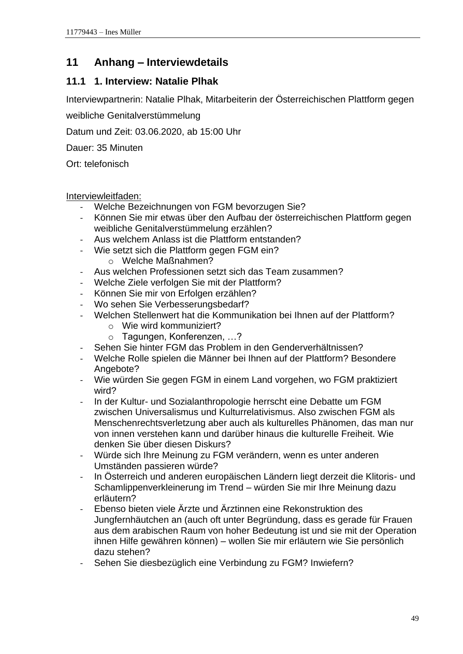## <span id="page-54-0"></span>**11 Anhang – Interviewdetails**

## <span id="page-54-1"></span>**11.1 1. Interview: Natalie Plhak**

Interviewpartnerin: Natalie Plhak, Mitarbeiterin der Österreichischen Plattform gegen

weibliche Genitalverstümmelung

Datum und Zeit: 03.06.2020, ab 15:00 Uhr

Dauer: 35 Minuten

Ort: telefonisch

- Welche Bezeichnungen von FGM bevorzugen Sie?
- Können Sie mir etwas über den Aufbau der österreichischen Plattform gegen weibliche Genitalverstümmelung erzählen?
- Aus welchem Anlass ist die Plattform entstanden?
- Wie setzt sich die Plattform gegen FGM ein?
	- o Welche Maßnahmen?
- Aus welchen Professionen setzt sich das Team zusammen?
- Welche Ziele verfolgen Sie mit der Plattform?
- Können Sie mir von Erfolgen erzählen?
- Wo sehen Sie Verbesserungsbedarf?
- Welchen Stellenwert hat die Kommunikation bei Ihnen auf der Plattform?
	- o Wie wird kommuniziert?
	- o Tagungen, Konferenzen, …?
- Sehen Sie hinter FGM das Problem in den Genderverhältnissen?
- Welche Rolle spielen die Männer bei Ihnen auf der Plattform? Besondere Angebote?
- Wie würden Sie gegen FGM in einem Land vorgehen, wo FGM praktiziert wird?
- In der Kultur- und Sozialanthropologie herrscht eine Debatte um FGM zwischen Universalismus und Kulturrelativismus. Also zwischen FGM als Menschenrechtsverletzung aber auch als kulturelles Phänomen, das man nur von innen verstehen kann und darüber hinaus die kulturelle Freiheit. Wie denken Sie über diesen Diskurs?
- Würde sich Ihre Meinung zu FGM verändern, wenn es unter anderen Umständen passieren würde?
- In Österreich und anderen europäischen Ländern liegt derzeit die Klitoris- und Schamlippenverkleinerung im Trend – würden Sie mir Ihre Meinung dazu erläutern?
- Ebenso bieten viele Ärzte und Ärztinnen eine Rekonstruktion des Jungfernhäutchen an (auch oft unter Begründung, dass es gerade für Frauen aus dem arabischen Raum von hoher Bedeutung ist und sie mit der Operation ihnen Hilfe gewähren können) – wollen Sie mir erläutern wie Sie persönlich dazu stehen?
- Sehen Sie diesbezüglich eine Verbindung zu FGM? Inwiefern?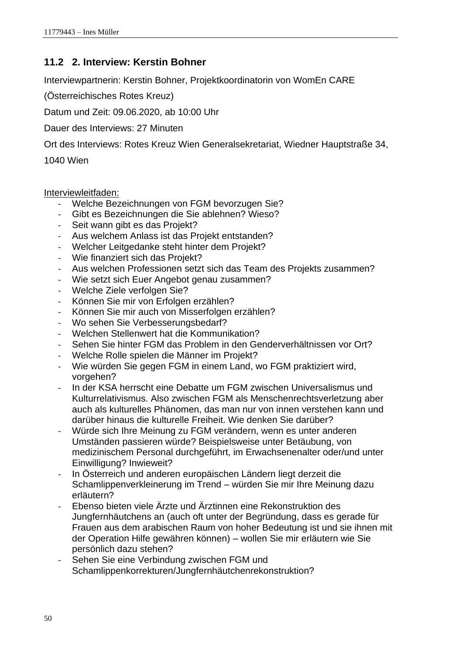## <span id="page-55-0"></span>**11.2 2. Interview: Kerstin Bohner**

Interviewpartnerin: Kerstin Bohner, Projektkoordinatorin von WomEn CARE

(Österreichisches Rotes Kreuz)

Datum und Zeit: 09.06.2020, ab 10:00 Uhr

Dauer des Interviews: 27 Minuten

Ort des Interviews: Rotes Kreuz Wien Generalsekretariat, Wiedner Hauptstraße 34,

1040 Wien

- Welche Bezeichnungen von FGM bevorzugen Sie?
- Gibt es Bezeichnungen die Sie ablehnen? Wieso?
- Seit wann gibt es das Projekt?
- Aus welchem Anlass ist das Projekt entstanden?
- Welcher Leitgedanke steht hinter dem Projekt?
- Wie finanziert sich das Projekt?
- Aus welchen Professionen setzt sich das Team des Projekts zusammen?
- Wie setzt sich Euer Angebot genau zusammen?
- Welche Ziele verfolgen Sie?
- Können Sie mir von Erfolgen erzählen?
- Können Sie mir auch von Misserfolgen erzählen?
- Wo sehen Sie Verbesserungsbedarf?
- Welchen Stellenwert hat die Kommunikation?
- Sehen Sie hinter FGM das Problem in den Genderverhältnissen vor Ort?
- Welche Rolle spielen die Männer im Projekt?
- Wie würden Sie gegen FGM in einem Land, wo FGM praktiziert wird, vorgehen?
- In der KSA herrscht eine Debatte um FGM zwischen Universalismus und Kulturrelativismus. Also zwischen FGM als Menschenrechtsverletzung aber auch als kulturelles Phänomen, das man nur von innen verstehen kann und darüber hinaus die kulturelle Freiheit. Wie denken Sie darüber?
- Würde sich Ihre Meinung zu FGM verändern, wenn es unter anderen Umständen passieren würde? Beispielsweise unter Betäubung, von medizinischem Personal durchgeführt, im Erwachsenenalter oder/und unter Einwilligung? Inwieweit?
- In Österreich und anderen europäischen Ländern liegt derzeit die Schamlippenverkleinerung im Trend – würden Sie mir Ihre Meinung dazu erläutern?
- Ebenso bieten viele Ärzte und Ärztinnen eine Rekonstruktion des Jungfernhäutchens an (auch oft unter der Begründung, dass es gerade für Frauen aus dem arabischen Raum von hoher Bedeutung ist und sie ihnen mit der Operation Hilfe gewähren können) – wollen Sie mir erläutern wie Sie persönlich dazu stehen?
- Sehen Sie eine Verbindung zwischen FGM und Schamlippenkorrekturen/Jungfernhäutchenrekonstruktion?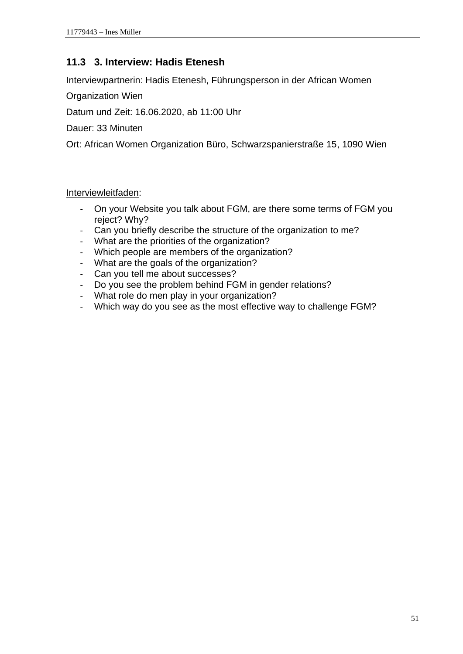## <span id="page-56-0"></span>**11.3 3. Interview: Hadis Etenesh**

Interviewpartnerin: Hadis Etenesh, Führungsperson in der African Women

Organization Wien

Datum und Zeit: 16.06.2020, ab 11:00 Uhr

Dauer: 33 Minuten

Ort: African Women Organization Büro, Schwarzspanierstraße 15, 1090 Wien

- On your Website you talk about FGM, are there some terms of FGM you reject? Why?
- Can you briefly describe the structure of the organization to me?
- What are the priorities of the organization?
- Which people are members of the organization?
- What are the goals of the organization?
- Can you tell me about successes?
- Do you see the problem behind FGM in gender relations?
- What role do men play in your organization?
- Which way do you see as the most effective way to challenge FGM?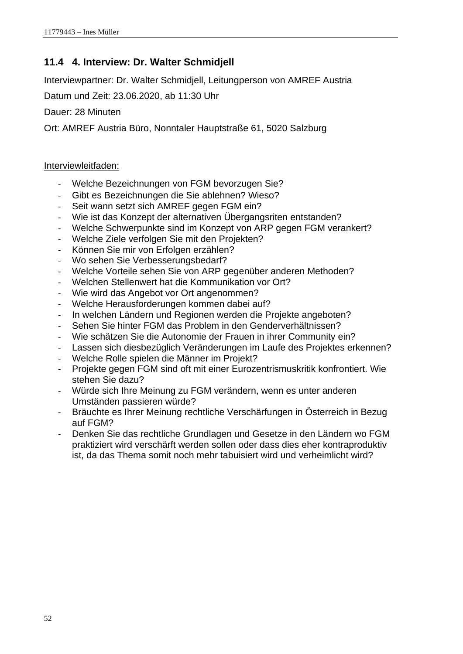## <span id="page-57-0"></span>**11.4 4. Interview: Dr. Walter Schmidjell**

Interviewpartner: Dr. Walter Schmidjell, Leitungperson von AMREF Austria

Datum und Zeit: 23.06.2020, ab 11:30 Uhr

Dauer: 28 Minuten

Ort: AMREF Austria Büro, Nonntaler Hauptstraße 61, 5020 Salzburg

- Welche Bezeichnungen von FGM bevorzugen Sie?
- Gibt es Bezeichnungen die Sie ablehnen? Wieso?
- Seit wann setzt sich AMREF gegen FGM ein?
- Wie ist das Konzept der alternativen Übergangsriten entstanden?
- Welche Schwerpunkte sind im Konzept von ARP gegen FGM verankert?
- Welche Ziele verfolgen Sie mit den Projekten?
- Können Sie mir von Erfolgen erzählen?
- Wo sehen Sie Verbesserungsbedarf?
- Welche Vorteile sehen Sie von ARP gegenüber anderen Methoden?
- Welchen Stellenwert hat die Kommunikation vor Ort?
- Wie wird das Angebot vor Ort angenommen?
- Welche Herausforderungen kommen dabei auf?
- In welchen Ländern und Regionen werden die Projekte angeboten?
- Sehen Sie hinter FGM das Problem in den Genderverhältnissen?
- Wie schätzen Sie die Autonomie der Frauen in ihrer Community ein?
- Lassen sich diesbezüglich Veränderungen im Laufe des Projektes erkennen?
- Welche Rolle spielen die Männer im Projekt?
- Projekte gegen FGM sind oft mit einer Eurozentrismuskritik konfrontiert. Wie stehen Sie dazu?
- Würde sich Ihre Meinung zu FGM verändern, wenn es unter anderen Umständen passieren würde?
- Bräuchte es Ihrer Meinung rechtliche Verschärfungen in Österreich in Bezug auf FGM?
- Denken Sie das rechtliche Grundlagen und Gesetze in den Ländern wo FGM praktiziert wird verschärft werden sollen oder dass dies eher kontraproduktiv ist, da das Thema somit noch mehr tabuisiert wird und verheimlicht wird?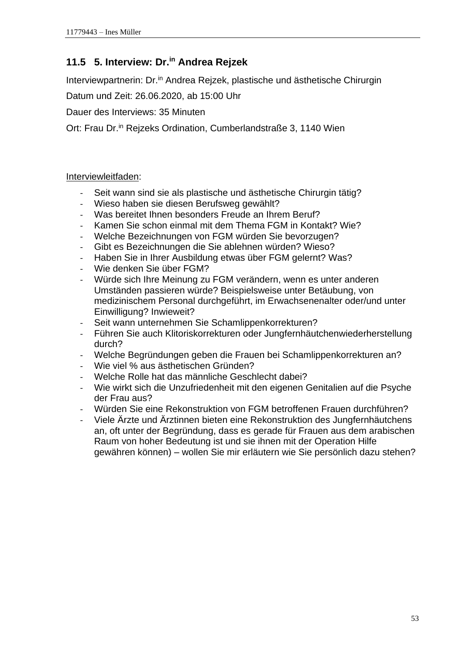## <span id="page-58-0"></span>**11.5 5. Interview: Dr.in Andrea Rejzek**

Interviewpartnerin: Dr.<sup>in</sup> Andrea Rejzek, plastische und ästhetische Chirurgin

Datum und Zeit: 26.06.2020, ab 15:00 Uhr

Dauer des Interviews: 35 Minuten

Ort: Frau Dr.<sup>in</sup> Reizeks Ordination, Cumberlandstraße 3, 1140 Wien

- Seit wann sind sie als plastische und ästhetische Chirurgin tätig?
- Wieso haben sie diesen Berufsweg gewählt?
- Was bereitet Ihnen besonders Freude an Ihrem Beruf?
- Kamen Sie schon einmal mit dem Thema FGM in Kontakt? Wie?
- Welche Bezeichnungen von FGM würden Sie bevorzugen?
- Gibt es Bezeichnungen die Sie ablehnen würden? Wieso?
- Haben Sie in Ihrer Ausbildung etwas über FGM gelernt? Was?
- Wie denken Sie über FGM?
- Würde sich Ihre Meinung zu FGM verändern, wenn es unter anderen Umständen passieren würde? Beispielsweise unter Betäubung, von medizinischem Personal durchgeführt, im Erwachsenenalter oder/und unter Einwilligung? Inwieweit?
- Seit wann unternehmen Sie Schamlippenkorrekturen?
- Führen Sie auch Klitoriskorrekturen oder Jungfernhäutchenwiederherstellung durch?
- Welche Begründungen geben die Frauen bei Schamlippenkorrekturen an?
- Wie viel % aus ästhetischen Gründen?
- Welche Rolle hat das männliche Geschlecht dabei?
- Wie wirkt sich die Unzufriedenheit mit den eigenen Genitalien auf die Psyche der Frau aus?
- Würden Sie eine Rekonstruktion von FGM betroffenen Frauen durchführen?
- Viele Ärzte und Ärztinnen bieten eine Rekonstruktion des Jungfernhäutchens an, oft unter der Begründung, dass es gerade für Frauen aus dem arabischen Raum von hoher Bedeutung ist und sie ihnen mit der Operation Hilfe gewähren können) – wollen Sie mir erläutern wie Sie persönlich dazu stehen?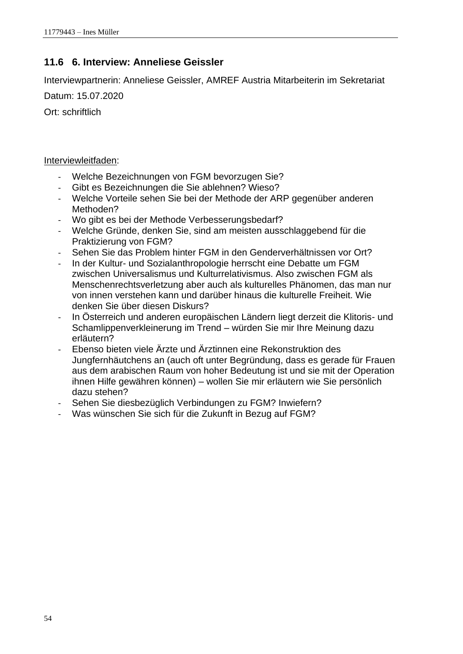## <span id="page-59-0"></span>**11.6 6. Interview: Anneliese Geissler**

Interviewpartnerin: Anneliese Geissler, AMREF Austria Mitarbeiterin im Sekretariat

Datum: 15.07.2020

Ort: schriftlich

- Welche Bezeichnungen von FGM bevorzugen Sie?
- Gibt es Bezeichnungen die Sie ablehnen? Wieso?
- Welche Vorteile sehen Sie bei der Methode der ARP gegenüber anderen Methoden?
- Wo gibt es bei der Methode Verbesserungsbedarf?
- Welche Gründe, denken Sie, sind am meisten ausschlaggebend für die Praktizierung von FGM?
- Sehen Sie das Problem hinter FGM in den Genderverhältnissen vor Ort?
- In der Kultur- und Sozialanthropologie herrscht eine Debatte um FGM zwischen Universalismus und Kulturrelativismus. Also zwischen FGM als Menschenrechtsverletzung aber auch als kulturelles Phänomen, das man nur von innen verstehen kann und darüber hinaus die kulturelle Freiheit. Wie denken Sie über diesen Diskurs?
- In Österreich und anderen europäischen Ländern liegt derzeit die Klitoris- und Schamlippenverkleinerung im Trend – würden Sie mir Ihre Meinung dazu erläutern?
- Ebenso bieten viele Ärzte und Ärztinnen eine Rekonstruktion des Jungfernhäutchens an (auch oft unter Begründung, dass es gerade für Frauen aus dem arabischen Raum von hoher Bedeutung ist und sie mit der Operation ihnen Hilfe gewähren können) – wollen Sie mir erläutern wie Sie persönlich dazu stehen?
- Sehen Sie diesbezüglich Verbindungen zu FGM? Inwiefern?
- Was wünschen Sie sich für die Zukunft in Bezug auf FGM?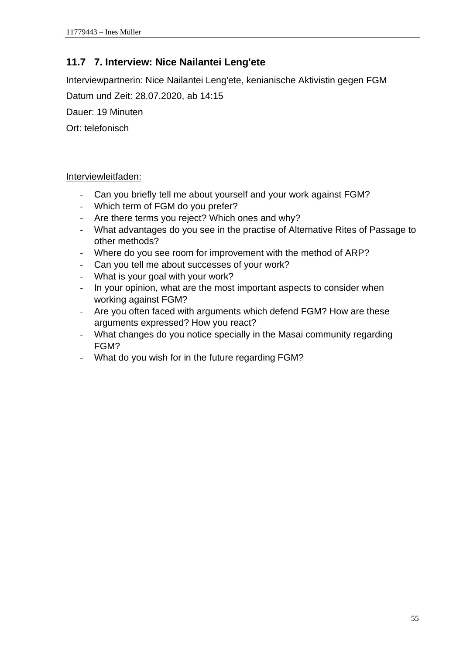## <span id="page-60-0"></span>**11.7 7. Interview: Nice Nailantei Leng'ete**

Interviewpartnerin: Nice Nailantei Leng'ete, kenianische Aktivistin gegen FGM

Datum und Zeit: 28.07.2020, ab 14:15

Dauer: 19 Minuten

Ort: telefonisch

- Can you briefly tell me about yourself and your work against FGM?
- Which term of FGM do you prefer?
- Are there terms you reject? Which ones and why?
- What advantages do you see in the practise of Alternative Rites of Passage to other methods?
- Where do you see room for improvement with the method of ARP?
- Can you tell me about successes of your work?
- What is your goal with your work?
- In your opinion, what are the most important aspects to consider when working against FGM?
- Are you often faced with arguments which defend FGM? How are these arguments expressed? How you react?
- What changes do you notice specially in the Masai community regarding FGM?
- What do you wish for in the future regarding FGM?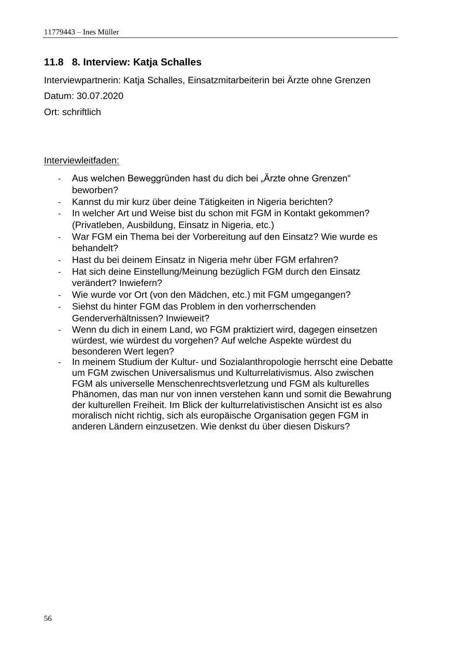## <span id="page-61-0"></span>**11.8 8. Interview: Katja Schalles**

Interviewpartnerin: Katja Schalles, Einsatzmitarbeiterin bei Ärzte ohne Grenzen

Datum: 30.07.2020

Ort: schriftlich

- Aus welchen Beweggründen hast du dich bei "Ärzte ohne Grenzen" beworben?
- Kannst du mir kurz über deine Tätigkeiten in Nigeria berichten?
- In welcher Art und Weise bist du schon mit FGM in Kontakt gekommen? (Privatleben, Ausbildung, Einsatz in Nigeria, etc.)
- War FGM ein Thema bei der Vorbereitung auf den Einsatz? Wie wurde es behandelt?
- Hast du bei deinem Einsatz in Nigeria mehr über FGM erfahren?
- Hat sich deine Einstellung/Meinung bezüglich FGM durch den Einsatz verändert? Inwiefern?
- Wie wurde vor Ort (von den Mädchen, etc.) mit FGM umgegangen?
- Siehst du hinter FGM das Problem in den vorherrschenden Genderverhältnissen? Inwieweit?
- Wenn du dich in einem Land, wo FGM praktiziert wird, dagegen einsetzen würdest, wie würdest du vorgehen? Auf welche Aspekte würdest du besonderen Wert legen?
- In meinem Studium der Kultur- und Sozialanthropologie herrscht eine Debatte um FGM zwischen Universalismus und Kulturrelativismus. Also zwischen FGM als universelle Menschenrechtsverletzung und FGM als kulturelles Phänomen, das man nur von innen verstehen kann und somit die Bewahrung der kulturellen Freiheit. Im Blick der kulturrelativistischen Ansicht ist es also moralisch nicht richtig, sich als europäische Organisation gegen FGM in anderen Ländern einzusetzen. Wie denkst du über diesen Diskurs?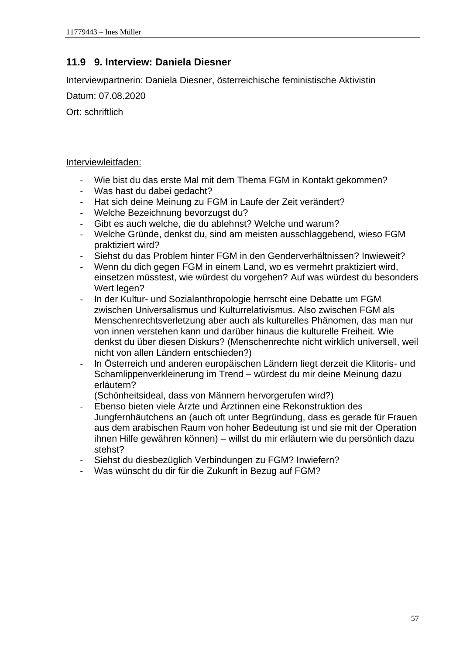## <span id="page-62-0"></span>**11.9 9. Interview: Daniela Diesner**

Interviewpartnerin: Daniela Diesner, österreichische feministische Aktivistin

Datum: 07.08.2020

Ort: schriftlich

#### Interviewleitfaden:

- Wie bist du das erste Mal mit dem Thema FGM in Kontakt gekommen?
- Was hast du dabei gedacht?
- Hat sich deine Meinung zu FGM in Laufe der Zeit verändert?
- Welche Bezeichnung bevorzugst du?
- Gibt es auch welche, die du ablehnst? Welche und warum?
- Welche Gründe, denkst du, sind am meisten ausschlaggebend, wieso FGM praktiziert wird?
- Siehst du das Problem hinter FGM in den Genderverhältnissen? Inwieweit?
- Wenn du dich gegen FGM in einem Land, wo es vermehrt praktiziert wird, einsetzen müsstest, wie würdest du vorgehen? Auf was würdest du besonders Wert legen?
- In der Kultur- und Sozialanthropologie herrscht eine Debatte um FGM zwischen Universalismus und Kulturrelativismus. Also zwischen FGM als Menschenrechtsverletzung aber auch als kulturelles Phänomen, das man nur von innen verstehen kann und darüber hinaus die kulturelle Freiheit. Wie denkst du über diesen Diskurs? (Menschenrechte nicht wirklich universell, weil nicht von allen Ländern entschieden?)
- In Österreich und anderen europäischen Ländern liegt derzeit die Klitoris- und Schamlippenverkleinerung im Trend – würdest du mir deine Meinung dazu erläutern?

(Schönheitsideal, dass von Männern hervorgerufen wird?)

- Ebenso bieten viele Ärzte und Ärztinnen eine Rekonstruktion des Jungfernhäutchens an (auch oft unter Begründung, dass es gerade für Frauen aus dem arabischen Raum von hoher Bedeutung ist und sie mit der Operation ihnen Hilfe gewähren können) – willst du mir erläutern wie du persönlich dazu stehst?
- Siehst du diesbezüglich Verbindungen zu FGM? Inwiefern?
- Was wünscht du dir für die Zukunft in Bezug auf FGM?